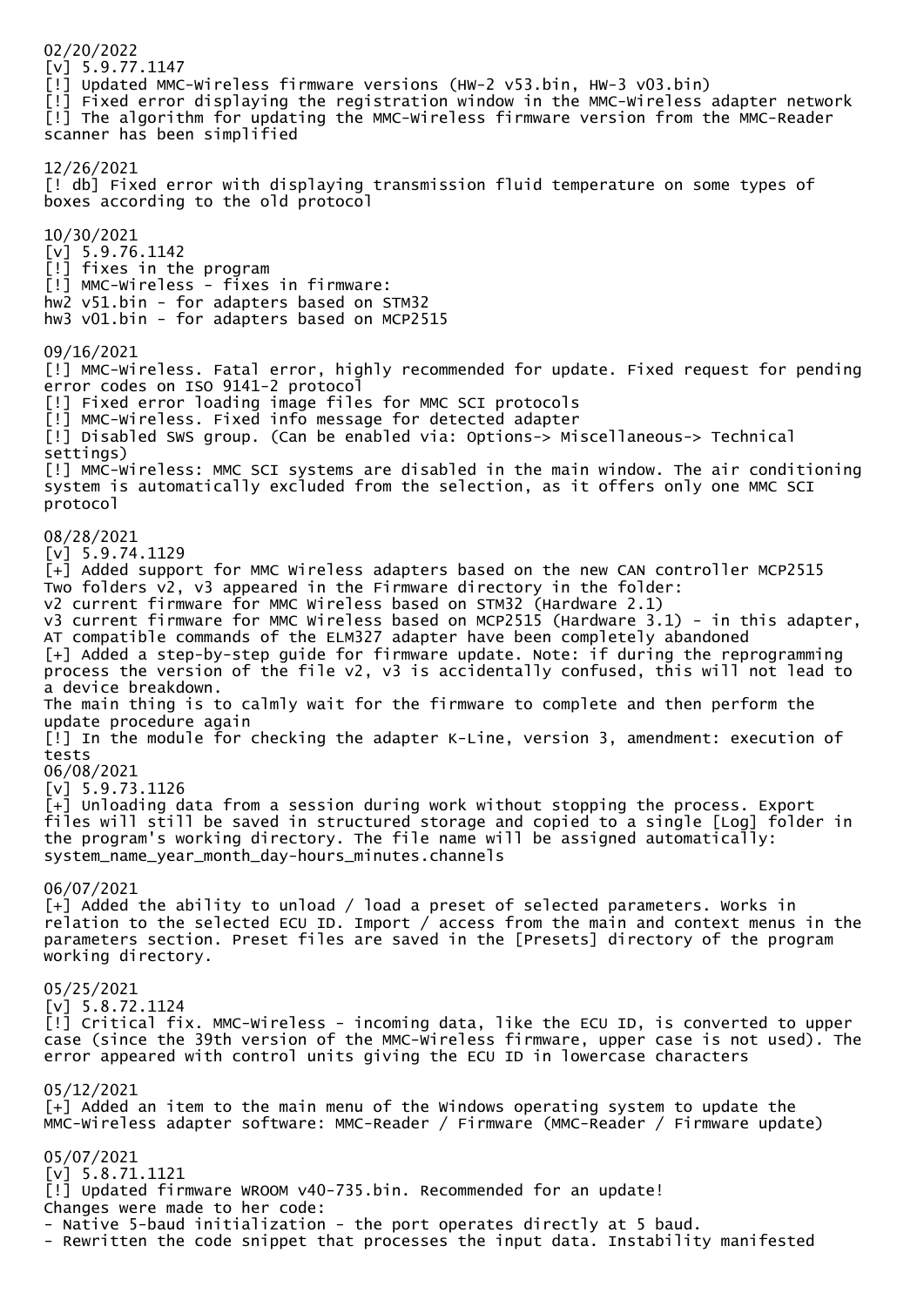02/20/2022 [v] 5.9.77.1147 [!] Updated MMC-Wireless firmware versions (HW-2 v53.bin, HW-3 v03.bin) [!] Fixed error displaying the registration window in the MMC-Wireless adapter network [!] The algorithm for updating the MMC-Wireless firmware version from the MMC-Reader scanner has been simplified 12/26/2021 [! db] Fixed error with displaying transmission fluid temperature on some types of boxes according to the old protocol 10/30/2021  $[v]$  5.9.76.1142 [!] fixes in the program [!] MMC-Wireless - fixes in firmware: hw2 v51.bin - for adapters based on STM32 hw3 v01.bin - for adapters based on MCP2515 09/16/2021 [!] MMC-Wireless. Fatal error, highly recommended for update. Fixed request for pending error codes on ISO 9141-2 protocol [!] Fixed error loading image files for MMC SCI protocols [!] MMC-Wireless. Fixed info message for detected adapter [!] Disabled SWS group. (Can be enabled via: Options-> Miscellaneous-> Technical settings) [!] MMC-Wireless: MMC SCI systems are disabled in the main window. The air conditioning system is automatically excluded from the selection, as it offers only one MMC SCI protocol 08/28/2021 [v] 5.9.74.1129 [+] Added support for MMC Wireless adapters based on the new CAN controller MCP2515 Two folders v2, v3 appeared in the Firmware directory in the folder: v2 current firmware for MMC Wireless based on STM32 (Hardware 2.1) v3 current firmware for MMC Wireless based on MCP2515 (Hardware 3.1) - in this adapter, AT compatible commands of the ELM327 adapter have been completely abandoned [+] Added a step-by-step guide for firmware update. Note: if during the reprogramming process the version of the file v2, v3 is accidentally confused, this will not lead to a device breakdown. The main thing is to calmly wait for the firmware to complete and then perform the update procedure again [!] In the module for checking the adapter K-Line, version 3, amendment: execution of tests 06/08/2021 [v] 5.9.73.1126 [+] Unloading data from a session during work without stopping the process. Export files will still be saved in structured storage and copied to a single [Log] folder in the program's working directory. The file name will be assigned automatically: system\_name\_year\_month\_day-hours\_minutes.channels 06/07/2021 [+] Added the ability to unload / load a preset of selected parameters. Works in relation to the selected ECU ID. Import / access from the main and context menus in the parameters section. Preset files are saved in the [Presets] directory of the program working directory. 05/25/2021 [v] 5.8.72.1124 [!] Critical fix. MMC-Wireless - incoming data, like the ECU ID, is converted to upper case (since the 39th version of the MMC-Wireless firmware, upper case is not used). The error appeared with control units giving the ECU ID in lowercase characters 05/12/2021 [+] Added an item to the main menu of the Windows operating system to update the MMC-Wireless adapter software: MMC-Reader / Firmware (MMC-Reader / Firmware update) 05/07/2021 [v] 5.8.71.1121 [!] Updated firmware WROOM v40-735.bin. Recommended for an update! Changes were made to her code: - Native 5-baud initialization - the port operates directly at 5 baud. - Rewritten the code snippet that processes the input data. Instability manifested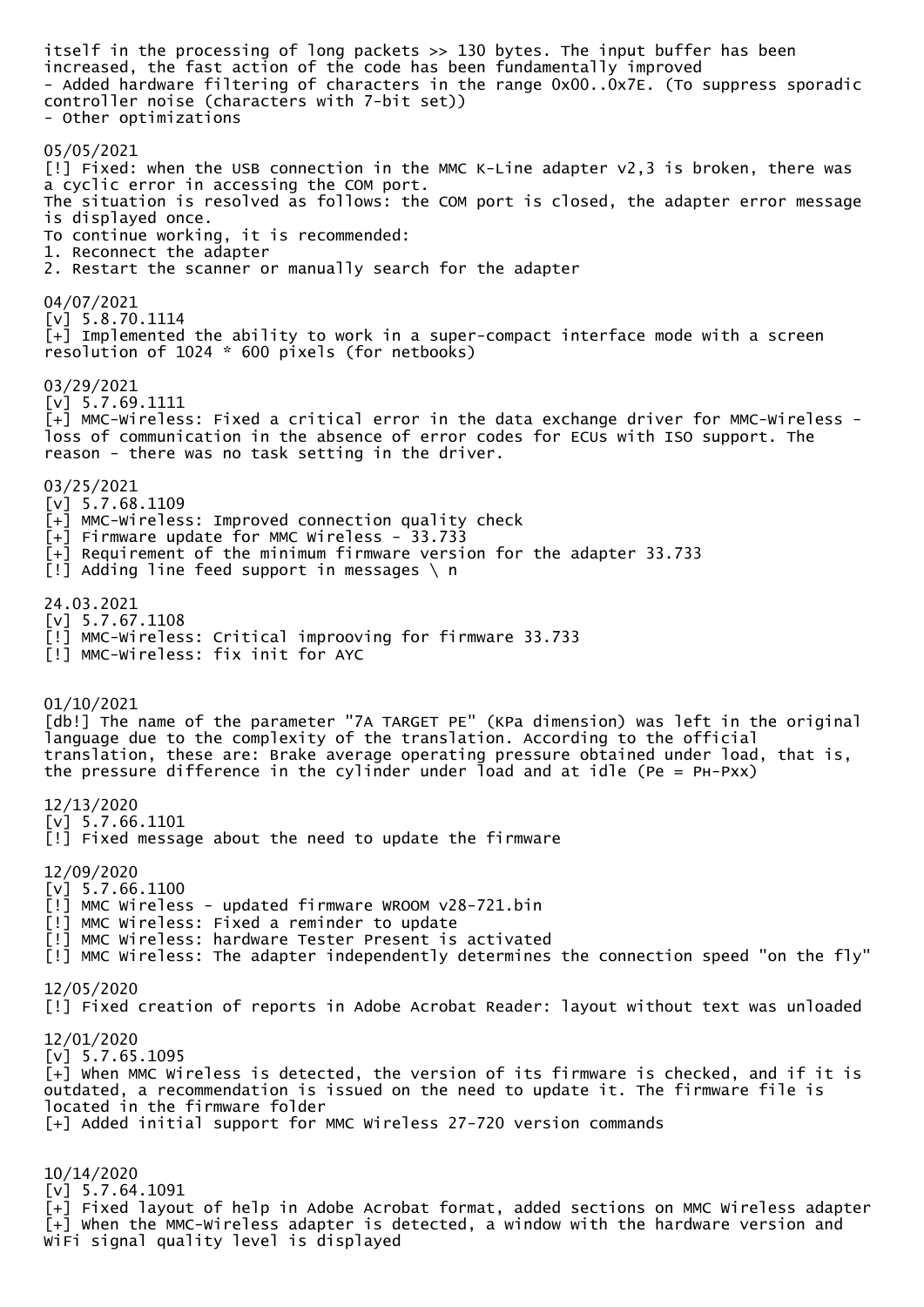itself in the processing of long packets >> 130 bytes. The input buffer has been increased, the fast action of the code has been fundamentally improved - Added hardware filtering of characters in the range 0x00..0x7E. (To suppress sporadic controller noise (characters with 7-bit set)) - Other optimizations 05/05/2021 [!] Fixed: when the USB connection in the MMC K-Line adapter v2,3 is broken, there was a cyclic error in accessing the COM port. The situation is resolved as follows: the COM port is closed, the adapter error message is displayed once. To continue working, it is recommended: 1. Reconnect the adapter 2. Restart the scanner or manually search for the adapter 04/07/2021 [v] 5.8.70.1114  $\bar{[+]}$  Implemented the ability to work in a super-compact interface mode with a screen resolution of 1024 \* 600 pixels (for netbooks) 03/29/2021 [v] 5.7.69.1111 [+] MMC-Wireless: Fixed a critical error in the data exchange driver for MMC-Wireless loss of communication in the absence of error codes for ECUs with ISO support. The reason - there was no task setting in the driver. 03/25/2021  $[v]$  5.7.68.1109 [+] MMC-Wireless: Improved connection quality check  $\overline{[+]}$  Firmware update for MMC Wireless - 33.733 [+] Requirement of the minimum firmware version for the adapter 33.733 [!] Adding line feed support in messages \ n 24.03.2021 [v] 5.7.67.1108 [!] MMC-Wireless: Critical improoving for firmware 33.733 [!] MMC-Wireless: fix init for AYC 01/10/2021 [db!] The name of the parameter "7A TARGET PE" (KPa dimension) was left in the original language due to the complexity of the translation. According to the official translation, these are: Brake average operating pressure obtained under load, that is, the pressure difference in the cylinder under load and at idle (Pe = PH-Pxx) 12/13/2020 [v] 5.7.66.1101 [!] Fixed message about the need to update the firmware 12/09/2020 [v] 5.7.66.1100 [!] MMC Wireless - updated firmware WROOM v28-721.bin [!] MMC Wireless: Fixed a reminder to update [!] MMC Wireless: hardware Tester Present is activated [!] MMC Wireless: The adapter independently determines the connection speed "on the fly" 12/05/2020 [!] Fixed creation of reports in Adobe Acrobat Reader: layout without text was unloaded 12/01/2020 [v] 5.7.65.1095 [+] When MMC Wireless is detected, the version of its firmware is checked, and if it is outdated, a recommendation is issued on the need to update it. The firmware file is located in the firmware folder [+] Added initial support for MMC Wireless 27-720 version commands 10/14/2020  $[v]$  5.7.64.1091  $\bar{[+]}$  Fixed layout of help in Adobe Acrobat format, added sections on MMC Wireless adapter [+] When the MMC-Wireless adapter is detected, a window with the hardware version and

WiFi signal quality level is displayed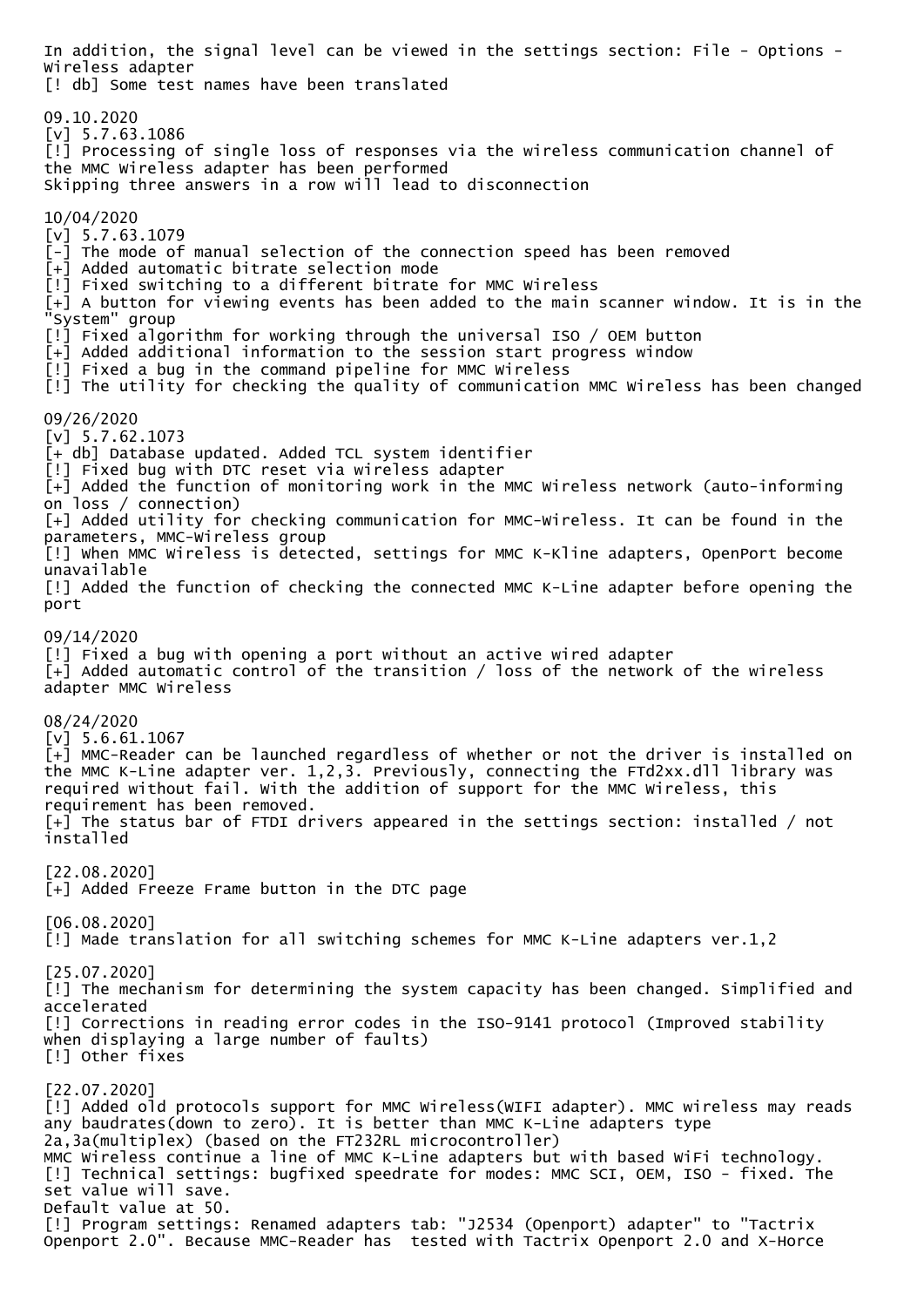In addition, the signal level can be viewed in the settings section: File - Options - Wireless adapter [! db] Some test names have been translated 09.10.2020 [v] 5.7.63.1086 [!] Processing of single loss of responses via the wireless communication channel of the MMC Wireless adapter has been performed Skipping three answers in a row will lead to disconnection 10/04/2020 [v] 5.7.63.1079 [-] The mode of manual selection of the connection speed has been removed [+] Added automatic bitrate selection mode [!] Fixed switching to a different bitrate for MMC Wireless  $\bar{[+]}$  A button for viewing events has been added to the main scanner window. It is in the "System" group [!] Fixed algorithm for working through the universal ISO / OEM button [+] Added additional information to the session start progress window [!] Fixed a bug in the command pipeline for MMC Wireless [!] The utility for checking the quality of communication MMC Wireless has been changed 09/26/2020 [v] 5.7.62.1073 [+ db] Database updated. Added TCL system identifier [!] Fixed bug with DTC reset via wireless adapter [+] Added the function of monitoring work in the MMC Wireless network (auto-informing on loss / connection) [+] Added utility for checking communication for MMC-Wireless. It can be found in the parameters, MMC-Wireless group [!] When MMC Wireless is detected, settings for MMC K-Kline adapters, OpenPort become unavailable [!] Added the function of checking the connected MMC K-Line adapter before opening the port 09/14/2020 [!] Fixed a bug with opening a port without an active wired adapter [+] Added automatic control of the transition / loss of the network of the wireless adapter MMC Wireless 08/24/2020  $[v]$  5.6.61.1067  $\bar{[+]}$  MMC-Reader can be launched regardless of whether or not the driver is installed on the MMC K-Line adapter ver. 1,2,3. Previously, connecting the FTd2xx.dll library was required without fail. With the addition of support for the MMC Wireless, this requirement has been removed. [+] The status bar of FTDI drivers appeared in the settings section: installed / not installed [22.08.2020] [+] Added Freeze Frame button in the DTC page [06.08.2020] [!] Made translation for all switching schemes for MMC K-Line adapters ver.1,2 [25.07.2020] [!] The mechanism for determining the system capacity has been changed. Simplified and accelerated [!] Corrections in reading error codes in the ISO-9141 protocol (Improved stability when displaying a large number of faults) [!] Other fixes [22.07.2020] [!] Added old protocols support for MMC Wireless(WIFI adapter). MMC wireless may reads any baudrates(down to zero). It is better than MMC K-Line adapters type 2a,3a(multiplex) (based on the FT232RL microcontroller) MMC Wireless continue a line of MMC K-Line adapters but with based WiFi technology. [!] Technical settings: bugfixed speedrate for modes: MMC SCI, OEM, ISO - fixed. The set value will save. Default value at 50. [!] Program settings: Renamed adapters tab: "J2534 (Openport) adapter" to "Tactrix Openport 2.0". Because MMC-Reader has tested with Tactrix Openport 2.0 and X-Horce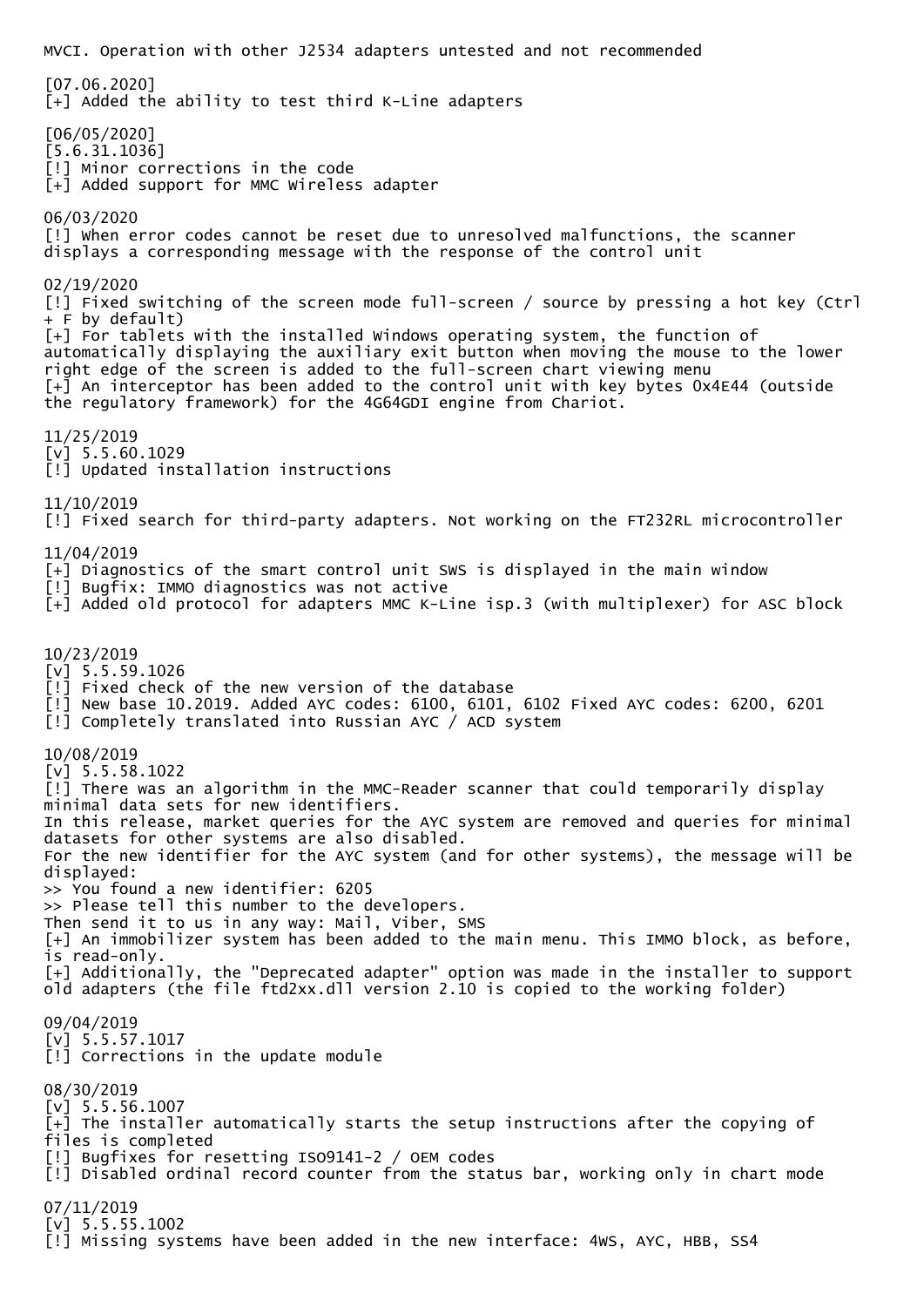MVCI. Operation with other J2534 adapters untested and not recommended [07.06.2020] [+] Added the ability to test third K-Line adapters [06/05/2020] [5.6.31.1036] [!] Minor corrections in the code [+] Added support for MMC Wireless adapter 06/03/2020 [!] when error codes cannot be reset due to unresolved malfunctions, the scanner displays a corresponding message with the response of the control unit 02/19/2020 [!] Fixed switching of the screen mode full-screen / source by pressing a hot key (Ctrl + F by default) [+] For tablets with the installed Windows operating system, the function of automatically displaying the auxiliary exit button when moving the mouse to the lower right edge of the screen is added to the full-screen chart viewing menu [+] An interceptor has been added to the control unit with key bytes 0x4E44 (outside the regulatory framework) for the 4G64GDI engine from Chariot. 11/25/2019 [v] 5.5.60.1029 [!] Updated installation instructions 11/10/2019 [!] Fixed search for third-party adapters. Not working on the FT232RL microcontroller 11/04/2019 [+] Diagnostics of the smart control unit SWS is displayed in the main window [!] Bugfix: IMMO diagnostics was not active [+] Added old protocol for adapters MMC K-Line isp.3 (with multiplexer) for ASC block 10/23/2019  $[v]$  5.5.59.1026 [!] Fixed check of the new version of the database [!] New base 10.2019. Added AYC codes: 6100, 6101, 6102 Fixed AYC codes: 6200, 6201 [!] Completely translated into Russian AYC / ACD system 10/08/2019 [v] 5.5.58.1022 [!] There was an algorithm in the MMC-Reader scanner that could temporarily display minimal data sets for new identifiers. In this release, market queries for the AYC system are removed and queries for minimal datasets for other systems are also disabled. For the new identifier for the AYC system (and for other systems), the message will be displayed: >> You found a new identifier: 6205 >> Please tell this number to the developers. Then send it to us in any way: Mail, Viber, SMS [+] An immobilizer system has been added to the main menu. This IMMO block, as before, is read-only. [+] Additionally, the "Deprecated adapter" option was made in the installer to support old adapters (the file ftd2xx.dll version 2.10 is copied to the working folder) 09/04/2019  $[v]$  5.5.57.1017 [!] Corrections in the update module 08/30/2019  $[v]$  5.5.56.1007 [+] The installer automatically starts the setup instructions after the copying of files is completed [!] Bugfixes for resetting ISO9141-2 / OEM codes [!] Disabled ordinal record counter from the status bar, working only in chart mode 07/11/2019  $[v]$  5.5.55.1002 [!] Missing systems have been added in the new interface: 4WS, AYC, HBB, SS4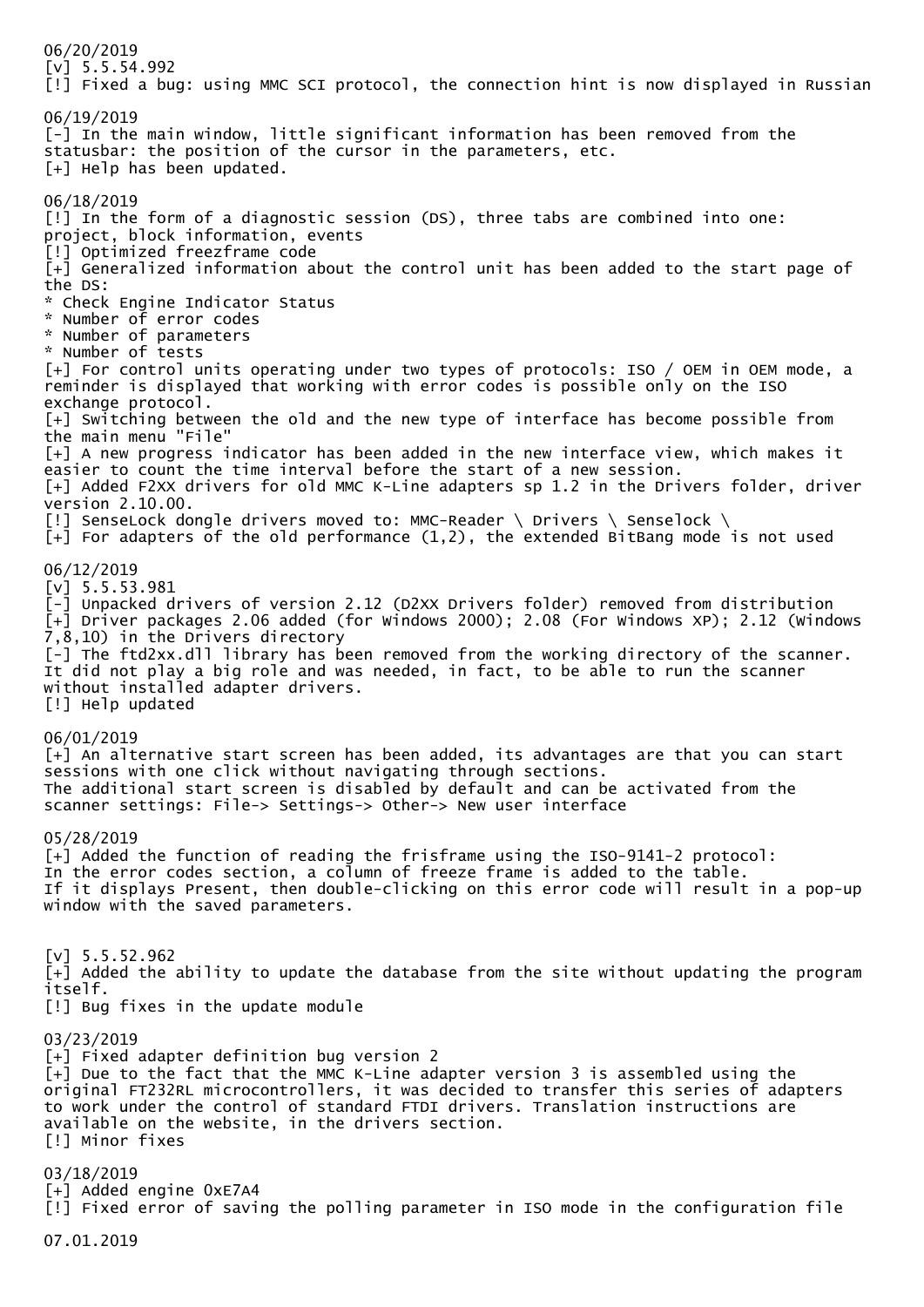06/20/2019 [v] 5.5.54.992 [!] Fixed a bug: using MMC SCI protocol, the connection hint is now displayed in Russian 06/19/2019 [-] In the main window, little significant information has been removed from the statusbar: the position of the cursor in the parameters, etc. [+] Help has been updated. 06/18/2019 [!] In the form of a diagnostic session (DS), three tabs are combined into one: project, block information, events [!] Optimized freezframe code [+] Generalized information about the control unit has been added to the start page of the DS: \* Check Engine Indicator Status \* Number of error codes \* Number of parameters \* Number of tests [+] For control units operating under two types of protocols: ISO / OEM in OEM mode, a reminder is displayed that working with error codes is possible only on the ISO exchange protocol. [+] Switching between the old and the new type of interface has become possible from the main menu "File" [+] A new progress indicator has been added in the new interface view, which makes it easier to count the time interval before the start of a new session. [+] Added F2XX drivers for old MMC K-Line adapters sp 1.2 in the Drivers folder, driver version 2.10.00. [!] SenseLock dongle drivers moved to: MMC-Reader \ Drivers \ Senselock \  $[-1]$  For adapters of the old performance  $(1,2)$ , the extended BitBang mode is not used 06/12/2019 [v] 5.5.53.981 [-] Unpacked drivers of version 2.12 (D2XX Drivers folder) removed from distribution [+] Driver packages 2.06 added (for Windows 2000); 2.08 (For Windows XP); 2.12 (Windows 7,8,10) in the Drivers directory [-] The ftd2xx.dll library has been removed from the working directory of the scanner. It did not play a big role and was needed, in fact, to be able to run the scanner without installed adapter drivers. [!] Help updated 06/01/2019 [+] An alternative start screen has been added, its advantages are that you can start sessions with one click without navigating through sections. The additional start screen is disabled by default and can be activated from the scanner settings: File-> Settings-> Other-> New user interface 05/28/2019 [+] Added the function of reading the frisframe using the ISO-9141-2 protocol: In the error codes section, a column of freeze frame is added to the table. If it displays Present, then double-clicking on this error code will result in a pop-up window with the saved parameters.  $[v]$  5.5.52.962 [+] Added the ability to update the database from the site without updating the program itself. [!] Bug fixes in the update module 03/23/2019 [+] Fixed adapter definition bug version 2 [+] Due to the fact that the MMC K-Line adapter version 3 is assembled using the original FT232RL microcontrollers, it was decided to transfer this series of adapters to work under the control of standard FTDI drivers. Translation instructions are available on the website, in the drivers section. [!] Minor fixes 03/18/2019 [+] Added engine 0xE7A4 [!] Fixed error of saving the polling parameter in ISO mode in the configuration file 07.01.2019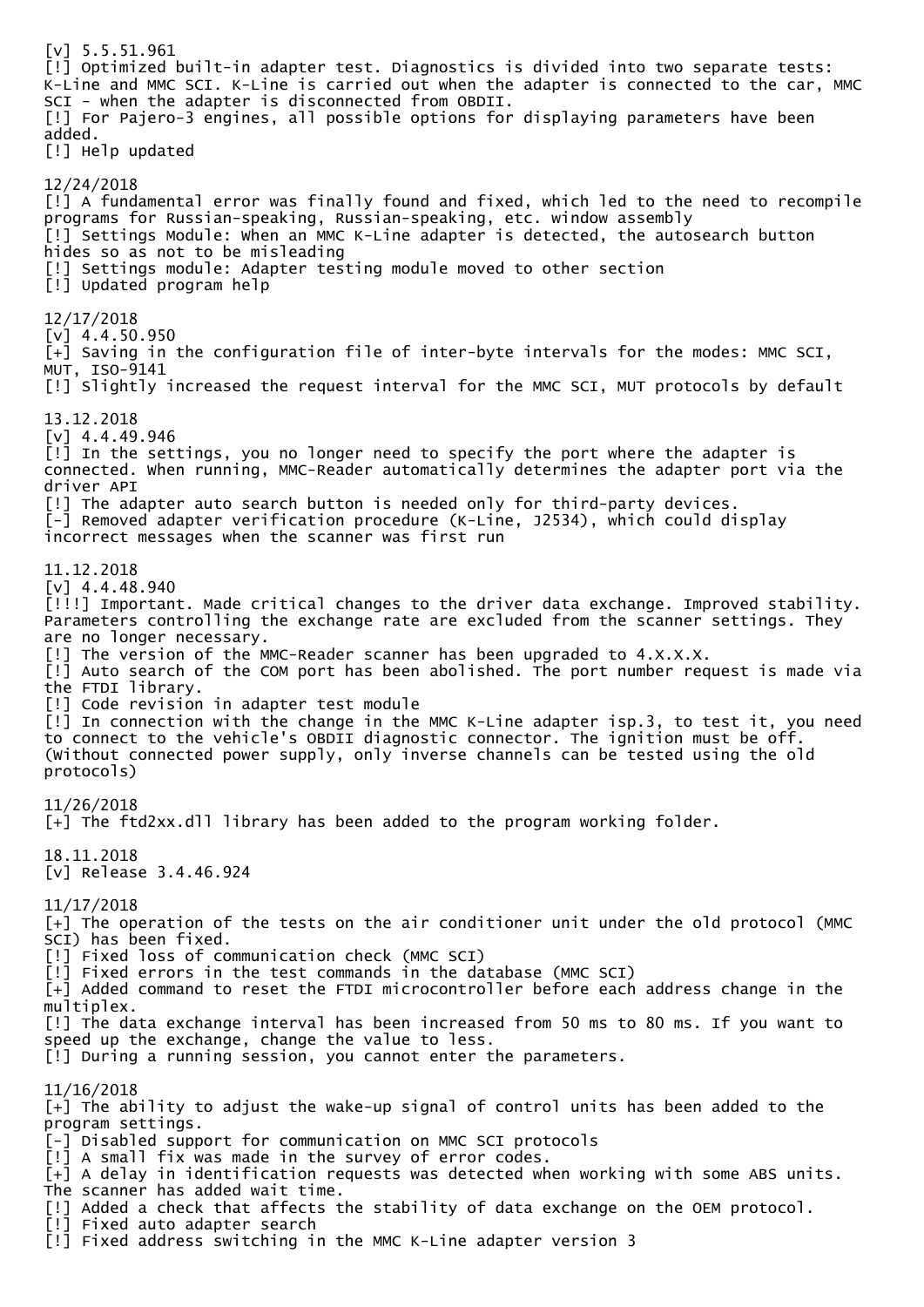[v] 5.5.51.961 [!] Optimized built-in adapter test. Diagnostics is divided into two separate tests: K-Line and MMC SCI. K-Line is carried out when the adapter is connected to the car, MMC SCI - when the adapter is disconnected from OBDII. [!] For Pajero-3 engines, all possible options for displaying parameters have been added. [!] Help updated 12/24/2018 [!] A fundamental error was finally found and fixed, which led to the need to recompile programs for Russian-speaking, Russian-speaking, etc. window assembly [!] Settings Module: When an MMC K-Line adapter is detected, the autosearch button hides so as not to be misleading [!] Settings module: Adapter testing module moved to other section [!] Updated program help 12/17/2018 [v] 4.4.50.950 [+] Saving in the configuration file of inter-byte intervals for the modes: MMC SCI, MUT, ISO-9141 [!] Slightly increased the request interval for the MMC SCI, MUT protocols by default 13.12.2018 [v] 4.4.49.946 [!] In the settings, you no longer need to specify the port where the adapter is connected. When running, MMC-Reader automatically determines the adapter port via the driver API [!] The adapter auto search button is needed only for third-party devices. [-] Removed adapter verification procedure (K-Line, J2534), which could display incorrect messages when the scanner was first run 11.12.2018 [v] 4.4.48.940 [!!!] Important. Made critical changes to the driver data exchange. Improved stability. Parameters controlling the exchange rate are excluded from the scanner settings. They are no longer necessary. [!] The version of the MMC-Reader scanner has been upgraded to 4.X.X.X. [!] Auto search of the COM port has been abolished. The port number request is made via the FTDI library. [!] Code revision in adapter test module [!] In connection with the change in the MMC K-Line adapter isp.3, to test it, you need to connect to the vehicle's OBDII diagnostic connector. The ignition must be off. (Without connected power supply, only inverse channels can be tested using the old protocols) 11/26/2018 [+] The ftd2xx.dll library has been added to the program working folder. 18.11.2018 [v] Release 3.4.46.924 11/17/2018 [+] The operation of the tests on the air conditioner unit under the old protocol (MMC SCI) has been fixed. [!] Fixed loss of communication check (MMC SCI) [!] Fixed errors in the test commands in the database (MMC SCI) [+] Added command to reset the FTDI microcontroller before each address change in the multiplex. [!] The data exchange interval has been increased from 50 ms to 80 ms. If you want to speed up the exchange, change the value to less. [!] During a running session, you cannot enter the parameters. 11/16/2018 [+] The ability to adjust the wake-up signal of control units has been added to the program settings. [-] Disabled support for communication on MMC SCI protocols [!] A small fix was made in the survey of error codes.  $\bar{[+]}$  A delay in identification requests was detected when working with some ABS units. The scanner has added wait time. [!] Added a check that affects the stability of data exchange on the OEM protocol. [!] Fixed auto adapter search [!] Fixed address switching in the MMC K-Line adapter version 3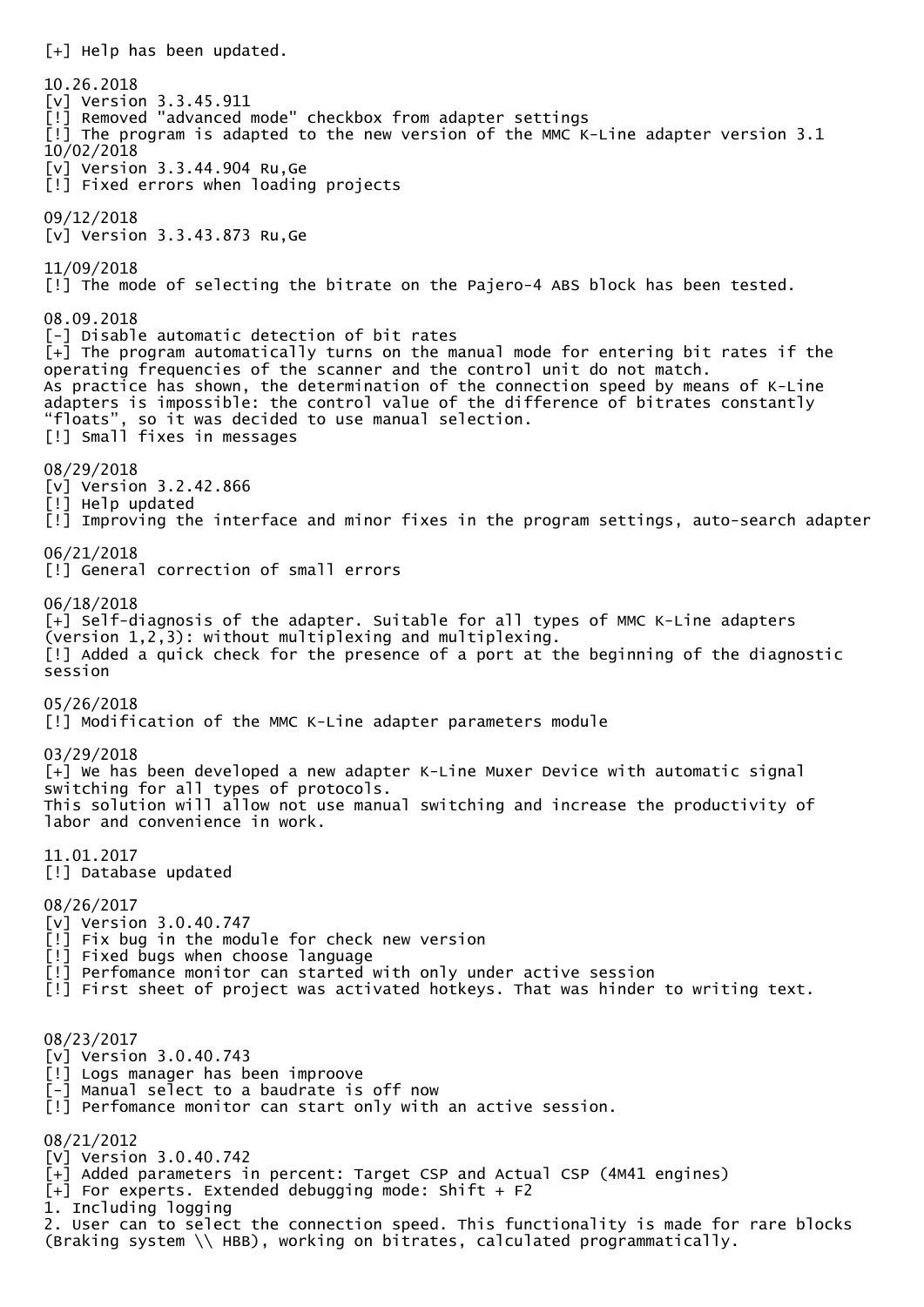[+] Help has been updated. 10.26.2018 [v] Version 3.3.45.911 [!] Removed "advanced mode" checkbox from adapter settings  $\lceil$ ! The program is adapted to the new version of the MMC K-Line adapter version 3.1 10/02/2018 [v] Version 3.3.44.904 Ru,Ge [!] Fixed errors when loading projects 09/12/2018 [v] Version 3.3.43.873 Ru,Ge 11/09/2018 [!] The mode of selecting the bitrate on the Pajero-4 ABS block has been tested. 08.09.2018 [-] Disable automatic detection of bit rates [+] The program automatically turns on the manual mode for entering bit rates if the operating frequencies of the scanner and the control unit do not match. As practice has shown, the determination of the connection speed by means of K-Line adapters is impossible: the control value of the difference of bitrates constantly "floats", so it was decided to use manual selection. , so it was decided to use manual selection. [!] Small fixes in messages 08/29/2018 [v] Version 3.2.42.866 [!] Help updated [!] Improving the interface and minor fixes in the program settings, auto-search adapter 06/21/2018 [!] General correction of small errors 06/18/2018 [+] Self-diagnosis of the adapter. Suitable for all types of MMC K-Line adapters (version 1,2,3): without multiplexing and multiplexing. [!] Added a quick check for the presence of a port at the beginning of the diagnostic session 05/26/2018 [!] Modification of the MMC K-Line adapter parameters module 03/29/2018 [+] We has been developed a new adapter K-Line Muxer Device with automatic signal switching for all types of protocols. This solution will allow not use manual switching and increase the productivity of labor and convenience in work. 11.01.2017 [!] Database updated 08/26/2017 [v] Version 3.0.40.747 [!] Fix bug in the module for check new version [!] Fixed bugs when choose language [!] Perfomance monitor can started with only under active session [!] First sheet of project was activated hotkeys. That was hinder to writing text. 08/23/2017 [v] Version 3.0.40.743 [!] Logs manager has been improove [-] Manual select to a baudrate is off now [!] Perfomance monitor can start only with an active session. 08/21/2012 [V] Version 3.0.40.742 [+] Added parameters in percent: Target CSP and Actual CSP (4M41 engines)  $[-]$  For experts. Extended debugging mode: Shift + F2 1. Including logging 2. User can to select the connection speed. This functionality is made for rare blocks (Braking system \\ HBB), working on bitrates, calculated programmatically.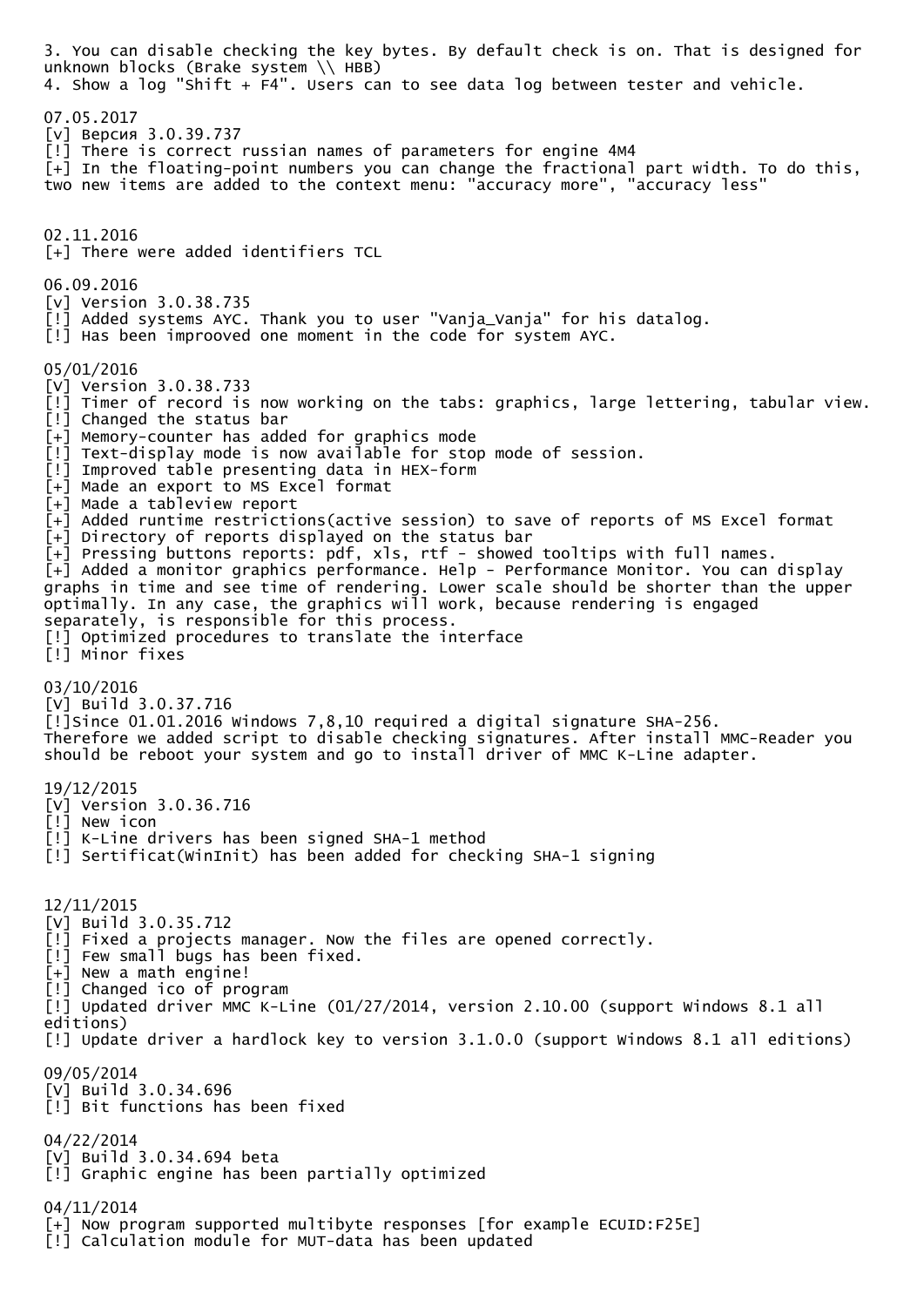3. You can disable checking the key bytes. By default check is on. That is designed for unknown blocks (Brake system \\ HBB) 4. Show a log "Shift + F4". Users can to see data log between tester and vehicle. 07.05.2017 [v] Версия 3.0.39.737 [!] There is correct russian names of parameters for engine 4M4  $\bar{[+]}$  In the floating-point numbers you can change the fractional part width. To do this, two new items are added to the context menu: "accuracy more", "accuracy less" 02.11.2016 [+] There were added identifiers TCL 06.09.2016 [v] Version 3.0.38.735 [!] Added systems AYC. Thank you to user "Vanja\_Vanja" for his datalog. [!] Has been improoved one moment in the code for system AYC. 05/01/2016 [V] Version 3.0.38.733 [!] Timer of record is now working on the tabs: graphics, large lettering, tabular view. [!] Changed the status bar [+] Memory-counter has added for graphics mode [!] Text-display mode is now available for stop mode of session. [!] Improved table presenting data in HEX-form [+] Made an export to MS Excel format [+] Made a tableview report [+] Added runtime restrictions(active session) to save of reports of MS Excel format  $\bar{[+]}$  Directory of reports displayed on the status bar  $\bar{[+]}$  Pressing buttons reports: pdf, xls, rtf - showed tooltips with full names. [+] Added a monitor graphics performance. Help - Performance Monitor. You can display graphs in time and see time of rendering. Lower scale should be shorter than the upper optimally. In any case, the graphics will work, because rendering is engaged separately, is responsible for this process. [!] Optimized procedures to translate the interface [!] Minor fixes 03/10/2016 [V] Build 3.0.37.716 [!]Since 01.01.2016 Windows 7,8,10 required a digital signature SHA-256. Therefore we added script to disable checking signatures. After install MMC-Reader you should be reboot your system and go to install driver of MMC K-Line adapter. 19/12/2015 [V] Version 3.0.36.716 [!] New icon [!] K-Line drivers has been signed SHA-1 method [!] Sertificat(WinInit) has been added for checking SHA-1 signing 12/11/2015 [V] Build 3.0.35.712 [!] Fixed a projects manager. Now the files are opened correctly. [!] Few small bugs has been fixed.  $\bar{[+]}$  New a math engine! [!] Changed ico of program [!] Updated driver MMC K-Line (01/27/2014, version 2.10.00 (support Windows 8.1 all editions) [!] Update driver a hardlock key to version 3.1.0.0 (support Windows 8.1 all editions) 09/05/2014 [V] Build 3.0.34.696 [!] Bit functions has been fixed 04/22/2014 [V] Build 3.0.34.694 beta [!] Graphic engine has been partially optimized 04/11/2014 [+] Now program supported multibyte responses [for example ECUID:F25E] [!] Calculation module for MUT-data has been updated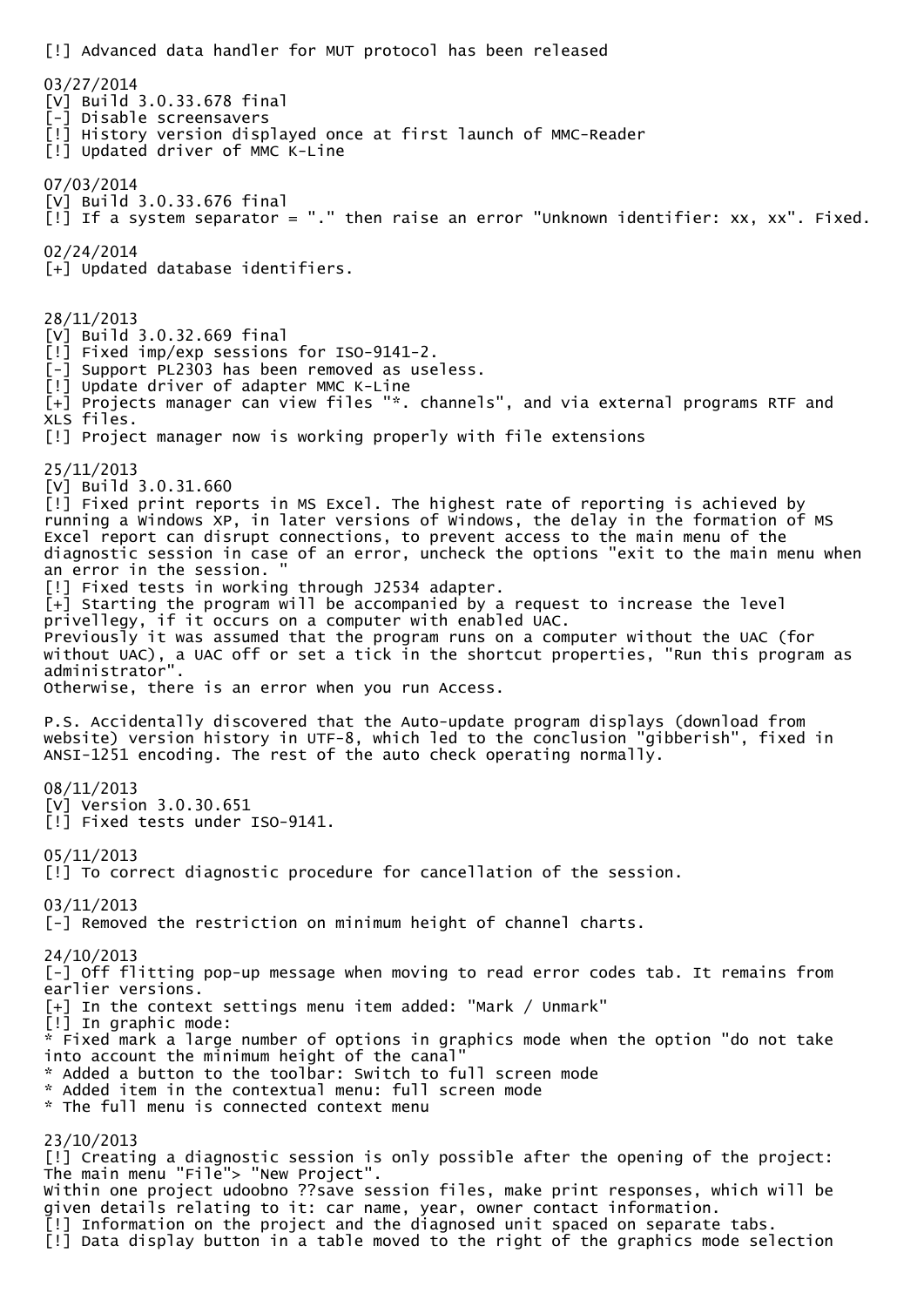[!] Advanced data handler for MUT protocol has been released 03/27/2014 [V] Build 3.0.33.678 final [-] Disable screensavers [!] History version displayed once at first launch of MMC-Reader [!] Updated driver of MMC K-Line 07/03/2014 [V] Build 3.0.33.676 final [!] If a system separator = "." then raise an error "Unknown identifier: xx, xx". Fixed. 02/24/2014 [+] Updated database identifiers. 28/11/2013 [V] Build 3.0.32.669 final [!] Fixed imp/exp sessions for ISO-9141-2. [-] Support PL2303 has been removed as useless. [!] Update driver of adapter MMC K-Line [+] Projects manager can view files "\*. channels", and via external programs RTF and XLS files. [!] Project manager now is working properly with file extensions 25/11/2013 [V] Build 3.0.31.660  $\lceil$ !] Fixed print reports in MS Excel. The highest rate of reporting is achieved by running a Windows XP, in later versions of Windows, the delay in the formation of MS Excel report can disrupt connections, to prevent access to the main menu of the diagnostic session in case of an error, uncheck the options "exit to the main menu when an error in the session. [!] Fixed tests in working through J2534 adapter. [+] Starting the program will be accompanied by a request to increase the level privellegy, if it occurs on a computer with enabled UAC. Previously it was assumed that the program runs on a computer without the UAC (for without UAC), a UAC off or set a tick in the shortcut properties, "Run this program as administrator". Otherwise, there is an error when you run Access. P.S. Accidentally discovered that the Auto-update program displays (download from website) version history in UTF-8, which led to the conclusion "gibberish", fixed in ANSI-1251 encoding. The rest of the auto check operating normally. 08/11/2013 [V] Version 3.0.30.651 [!] Fixed tests under ISO-9141. 05/11/2013 [!] To correct diagnostic procedure for cancellation of the session. 03/11/2013 [-] Removed the restriction on minimum height of channel charts. 24/10/2013 [-] Off flitting pop-up message when moving to read error codes tab. It remains from earlier versions. [+] In the context settings menu item added: "Mark / Unmark" [!] In graphic mode: \* Fixed mark a large number of options in graphics mode when the option "do not take into account the minimum height of the canal" \* Added a button to the toolbar: Switch to full screen mode \* Added item in the contextual menu: full screen mode \* The full menu is connected context menu 23/10/2013 [!] Creating a diagnostic session is only possible after the opening of the project: The main menu "File"> "New Project". Within one project udoobno ??save session files, make print responses, which will be given details relating to it: car name, year, owner contact information. [!] Information on the project and the diagnosed unit spaced on separate tabs. [!] Data display button in a table moved to the right of the graphics mode selection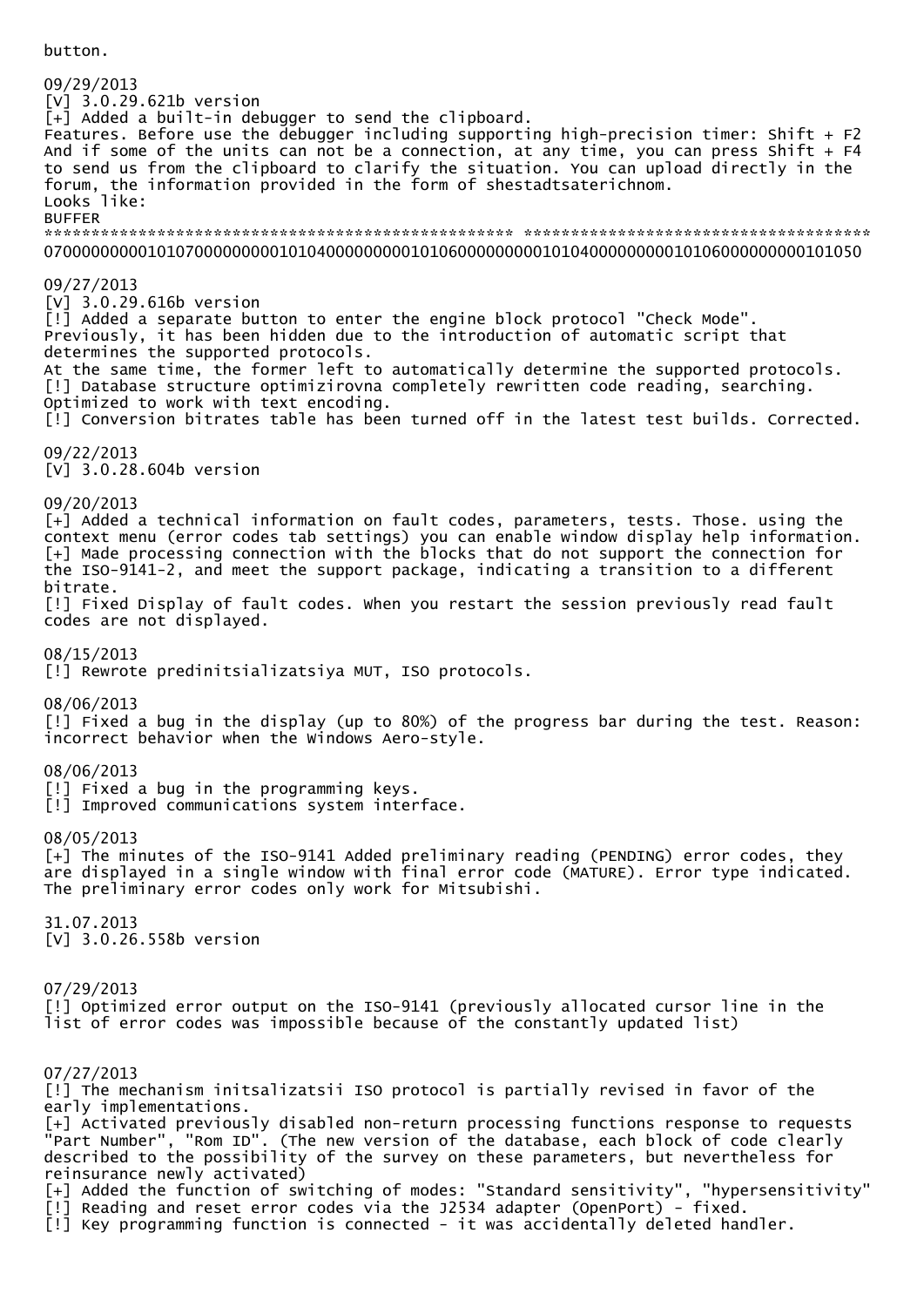button.

09/29/2013 [V] 3.0.29.621b version [+] Added a built-in debugger to send the clipboard. Features. Before use the debugger including supporting high-precision timer: Shift  $+ F2$ And if some of the units can not be a connection, at any time, you can press Shift +  $F4$ to send us from the clipboard to clarify the situation. You can upload directly in the forum, the information provided in the form of shestadtsaterichnom. Looks like: BUFFER \*\*\*\*\*\*\*\*\*\*\*\*\*\*\*\*\*\*\*\*\*\*\*\*\*\*\*\*\*\*\*\*\*\*\*\*\*\*\*\*\*\*\*\*\*\*\*\*\*\* \*\*\*\*\*\*\*\*\*\*\*\*\*\*\*\*\*\*\*\*\*\*\*\*\*\*\*\*\*\*\*\*\*\*\*\*\* 070000000001010700000000010104000000000101060000000001010400000000010106000000000101050 09/27/2013 [V] 3.0.29.616b version [!] Added a separate button to enter the engine block protocol "Check Mode". Previously, it has been hidden due to the introduction of automatic script that determines the supported protocols. At the same time, the former left to automatically determine the supported protocols. [!] Database structure optimizirovna completely rewritten code reading, searching. Optimized to work with text encoding. [!] Conversion bitrates table has been turned off in the latest test builds. Corrected. 09/22/2013 [V] 3.0.28.604b version 09/20/2013 [+] Added a technical information on fault codes, parameters, tests. Those. using the context menu (error codes tab settings) you can enable window display help information. [+] Made processing connection with the blocks that do not support the connection for the ISO-9141-2, and meet the support package, indicating a transition to a different bitrate. [!] Fixed Display of fault codes. When you restart the session previously read fault codes are not displayed. 08/15/2013 [!] Rewrote predinitsializatsiya MUT, ISO protocols. 08/06/2013 [!] Fixed a bug in the display (up to 80%) of the progress bar during the test. Reason: incorrect behavior when the Windows Aero-style. 08/06/2013 [!] Fixed a bug in the programming keys. [!] Improved communications system interface. 08/05/2013 [+] The minutes of the ISO-9141 Added preliminary reading (PENDING) error codes, they are displayed in a single window with final error code (MATURE). Error type indicated. The preliminary error codes only work for Mitsubishi. 31.07.2013 [V] 3.0.26.558b version 07/29/2013 [!] Optimized error output on the ISO-9141 (previously allocated cursor line in the list of error codes was impossible because of the constantly updated list) 07/27/2013 [!] The mechanism initsalizatsii ISO protocol is partially revised in favor of the early implementations. [+] Activated previously disabled non-return processing functions response to requests "Part Number", "Rom ID". (The new version of the database, each block of code clearly described to the possibility of the survey on these parameters, but nevertheless for reinsurance newly activated) [+] Added the function of switching of modes: "Standard sensitivity", "hypersensitivity" [!] Reading and reset error codes via the J2534 adapter (OpenPort) - fixed. [!] Key programming function is connected - it was accidentally deleted handler.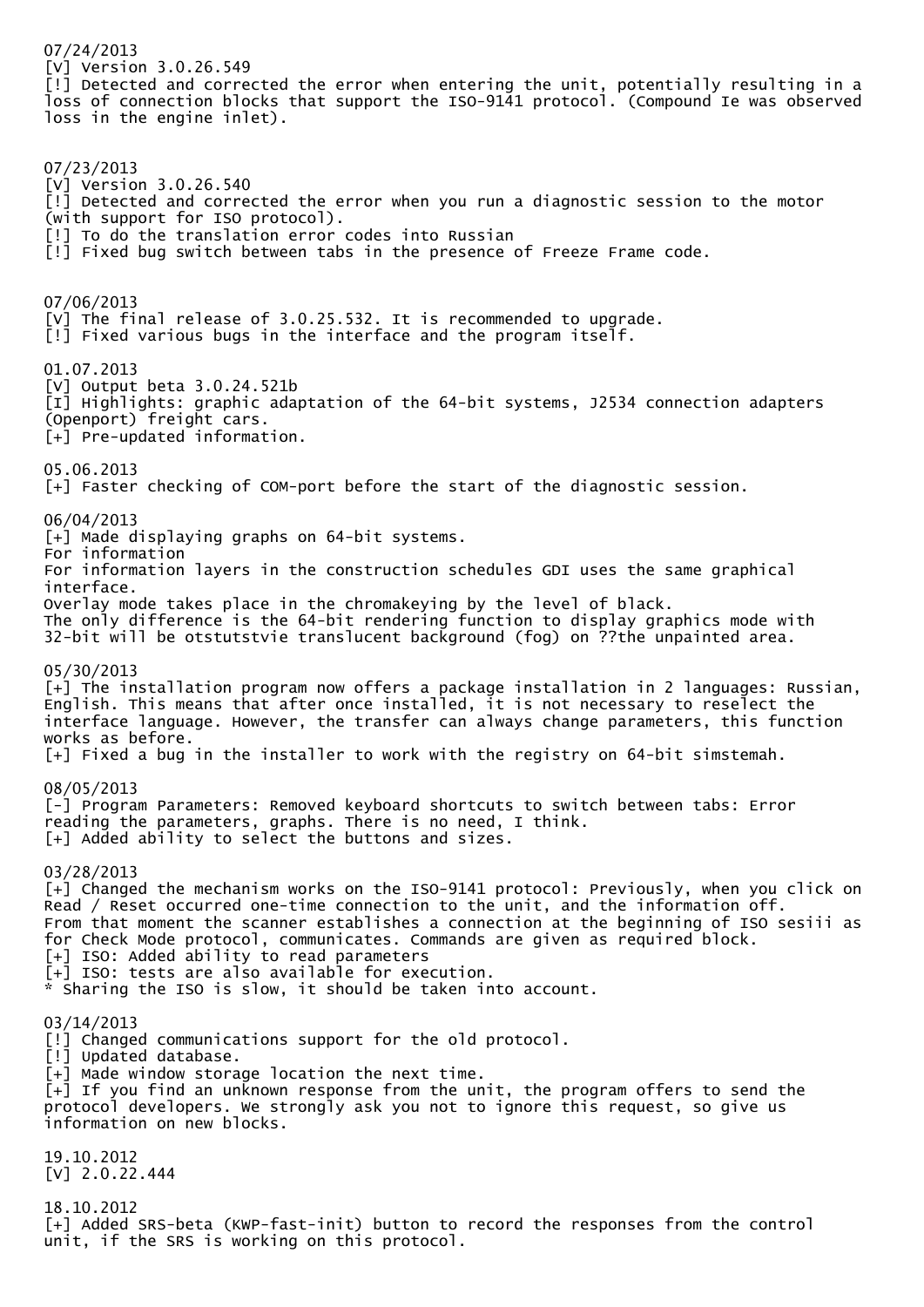07/24/2013 [V] Version 3.0.26.549 [!] Detected and corrected the error when entering the unit, potentially resulting in a loss of connection blocks that support the ISO-9141 protocol. (Compound Ie was observed loss in the engine inlet). 07/23/2013 [V] Version 3.0.26.540 [!] Detected and corrected the error when you run a diagnostic session to the motor (with support for ISO protocol). [!] To do the translation error codes into Russian [!] Fixed bug switch between tabs in the presence of Freeze Frame code. 07/06/2013 [V] The final release of 3.0.25.532. It is recommended to upgrade.  $[!]$  Fixed various bugs in the interface and the program itself. 01.07.2013 [V] Output beta 3.0.24.521b [I] Highlights: graphic adaptation of the 64-bit systems, J2534 connection adapters (Openport) freight cars. [+] Pre-updated information. 05.06.2013 [+] Faster checking of COM-port before the start of the diagnostic session. 06/04/2013 [+] Made displaying graphs on 64-bit systems. For information For information layers in the construction schedules GDI uses the same graphical interface. Overlay mode takes place in the chromakeying by the level of black. The only difference is the 64-bit rendering function to display graphics mode with 32-bit will be otstutstvie translucent background (fog) on ??the unpainted area. 05/30/2013 [+] The installation program now offers a package installation in 2 languages: Russian, English. This means that after once installed, it is not necessary to reselect the interface language. However, the transfer can always change parameters, this function works as before. [+] Fixed a bug in the installer to work with the registry on 64-bit simstemah. 08/05/2013 [-] Program Parameters: Removed keyboard shortcuts to switch between tabs: Error reading the parameters, graphs. There is no need, I think. [+] Added ability to select the buttons and sizes. 03/28/2013 [+] Changed the mechanism works on the ISO-9141 protocol: Previously, when you click on Read / Reset occurred one-time connection to the unit, and the information off. From that moment the scanner establishes a connection at the beginning of ISO sesiii as for Check Mode protocol, communicates. Commands are given as required block. [+] ISO: Added ability to read parameters [+] ISO: tests are also available for execution. \* Sharing the ISO is slow, it should be taken into account. 03/14/2013 [!] Changed communications support for the old protocol. [!] Updated database. [+] Made window storage location the next time. [+] If you find an unknown response from the unit, the program offers to send the protocol developers. We strongly ask you not to ignore this request, so give us information on new blocks. 19.10.2012 [V] 2.0.22.444 18.10.2012 [+] Added SRS-beta (KWP-fast-init) button to record the responses from the control unit, if the SRS is working on this protocol.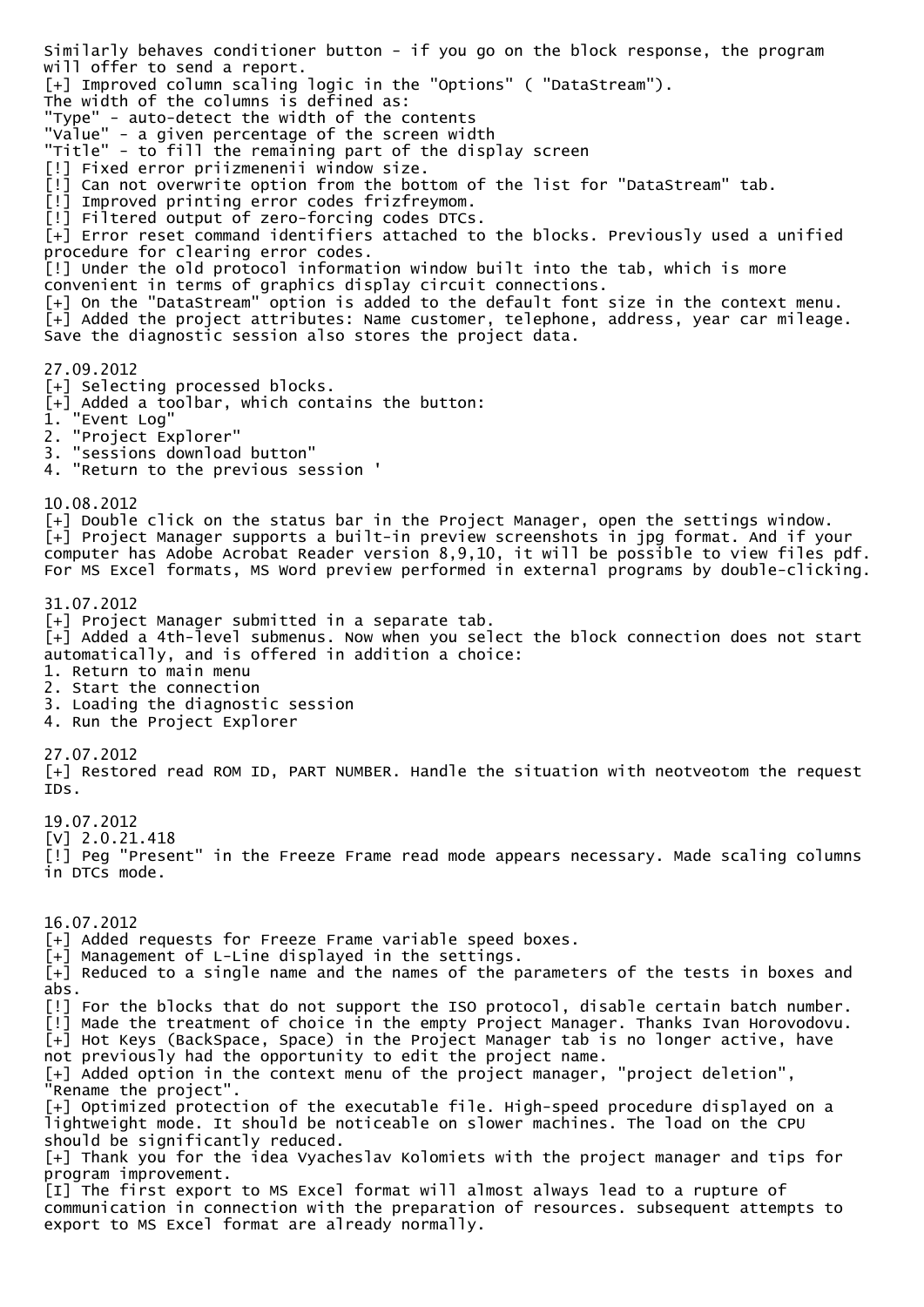Similarly behaves conditioner button - if you go on the block response, the program will offer to send a report. [+] Improved column scaling logic in the "Options" ( "DataStream"). The width of the columns is defined as: "Type" - auto-detect the width of the contents "Value" - a given percentage of the screen width "Title" - to fill the remaining part of the display screen [!] Fixed error priizmenenii window size. [!] Can not overwrite option from the bottom of the list for "DataStream" tab. [!] Improved printing error codes frizfreymom. [!] Filtered output of zero-forcing codes DTCs. [+] Error reset command identifiers attached to the blocks. Previously used a unified procedure for clearing error codes. [!] Under the old protocol information window built into the tab, which is more convenient in terms of graphics display circuit connections. [+] On the "DataStream" option is added to the default font size in the context menu. [+] Added the project attributes: Name customer, telephone, address, year car mileage. Save the diagnostic session also stores the project data. 27.09.2012 [+] Selecting processed blocks. [+] Added a toolbar, which contains the button: 1. "Event Log" 2. "Project Explorer" 3. "sessions download button" 4. "Return to the previous session ' 10.08.2012 [+] Double click on the status bar in the Project Manager, open the settings window. [+] Project Manager supports a built-in preview screenshots in jpg format. And if your computer has Adobe Acrobat Reader version 8,9,10, it will be possible to view files pdf. For MS Excel formats, MS Word preview performed in external programs by double-clicking. 31.07.2012 [+] Project Manager submitted in a separate tab.  $\bar{[+]}$  Added a 4th-level submenus. Now when you select the block connection does not start automatically, and is offered in addition a choice: 1. Return to main menu 2. Start the connection 3. Loading the diagnostic session 4. Run the Project Explorer 27.07.2012 [+] Restored read ROM ID, PART NUMBER. Handle the situation with neotveotom the request IDs. 19.07.2012 [V] 2.0.21.418 [!] Peg "Present" in the Freeze Frame read mode appears necessary. Made scaling columns in DTCs mode. 16.07.2012 [+] Added requests for Freeze Frame variable speed boxes. [+] Management of L-Line displayed in the settings. [+] Reduced to a single name and the names of the parameters of the tests in boxes and abs. [!] For the blocks that do not support the ISO protocol, disable certain batch number. [!] Made the treatment of choice in the empty Project Manager. Thanks Ivan Horovodovu. [+] Hot Keys (BackSpace, Space) in the Project Manager tab is no longer active, have not previously had the opportunity to edit the project name. [+] Added option in the context menu of the project manager, "project deletion", "Rename the project". [+] Optimized protection of the executable file. High-speed procedure displayed on a lightweight mode. It should be noticeable on slower machines. The load on the CPU should be significantly reduced. [+] Thank you for the idea Vyacheslav Kolomiets with the project manager and tips for program improvement. [I] The first export to MS Excel format will almost always lead to a rupture of communication in connection with the preparation of resources. subsequent attempts to export to MS Excel format are already normally.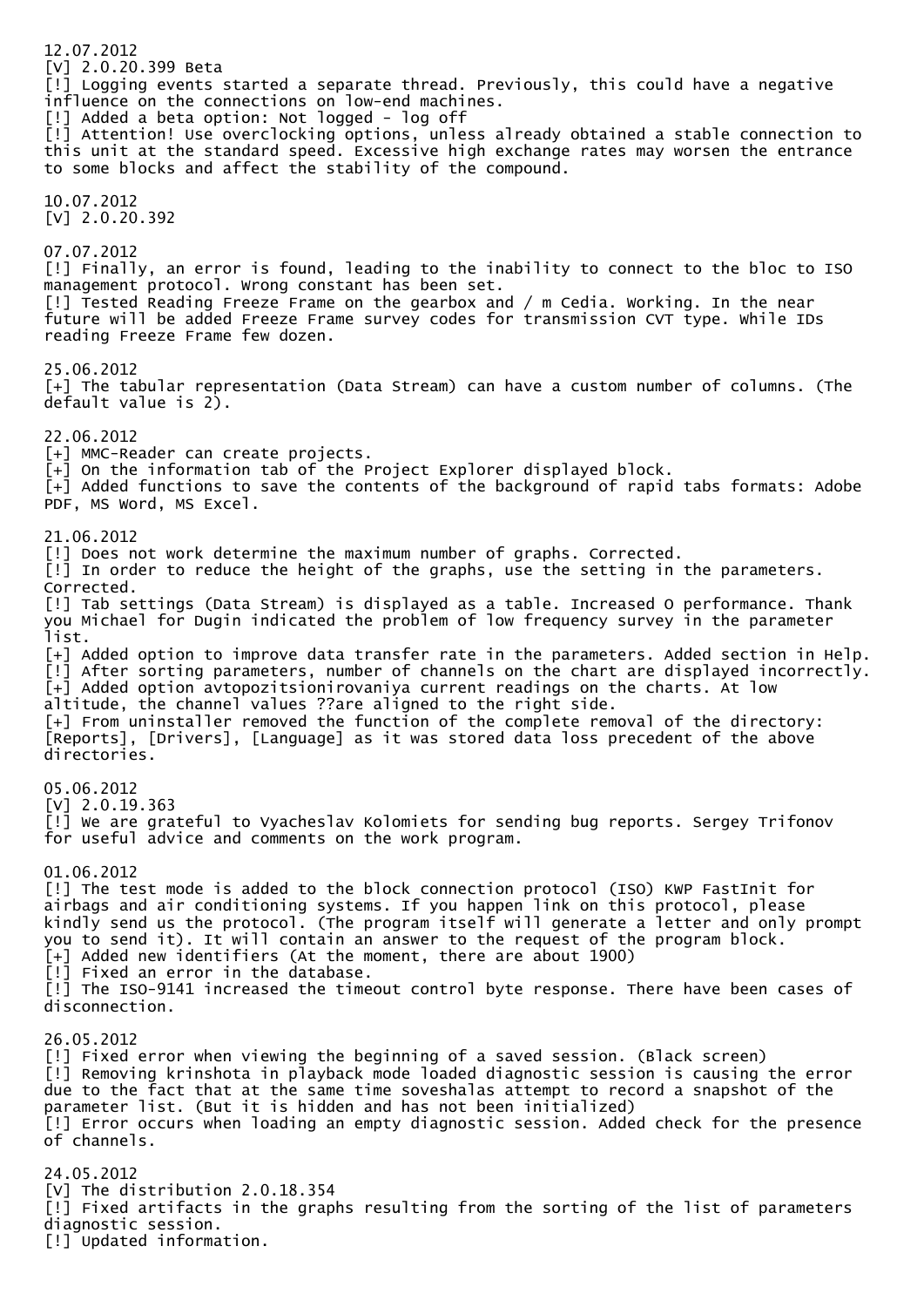12.07.2012 [V] 2.0.20.399 Beta [!] Logging events started a separate thread. Previously, this could have a negative influence on the connections on low-end machines. [!] Added a beta option: Not logged - log off [!] Attention! Use overclocking options, unless already obtained a stable connection to this unit at the standard speed. Excessive high exchange rates may worsen the entrance to some blocks and affect the stability of the compound. 10.07.2012 [V] 2.0.20.392 07.07.2012 [!] Finally, an error is found, leading to the inability to connect to the bloc to ISO management protocol. Wrong constant has been set. [!] Tested Reading Freeze Frame on the gearbox and / m Cedia. Working. In the near future will be added Freeze Frame survey codes for transmission CVT type. While IDs reading Freeze Frame few dozen. 25.06.2012 [+] The tabular representation (Data Stream) can have a custom number of columns. (The default value is 2). 22.06.2012 [+] MMC-Reader can create projects.  $\bar{f}$  On the information tab of the Project Explorer displayed block. [+] Added functions to save the contents of the background of rapid tabs formats: Adobe PDF, MS Word, MS Excel. 21.06.2012 [!] Does not work determine the maximum number of graphs. Corrected. [!] In order to reduce the height of the graphs, use the setting in the parameters. Corrected. [!] Tab settings (Data Stream) is displayed as a table. Increased O performance. Thank you Michael for Dugin indicated the problem of low frequency survey in the parameter list. [+] Added option to improve data transfer rate in the parameters. Added section in Help. [!] After sorting parameters, number of channels on the chart are displayed incorrectly. [+] Added option avtopozitsionirovaniya current readings on the charts. At low altitude, the channel values ??are aligned to the right side. [+] From uninstaller removed the function of the complete removal of the directory: [Reports], [Drivers], [Language] as it was stored data loss precedent of the above directories. 05.06.2012 [V] 2.0.19.363 [!] We are grateful to Vyacheslav Kolomiets for sending bug reports. Sergey Trifonov for useful advice and comments on the work program. 01.06.2012 [!] The test mode is added to the block connection protocol (ISO) KWP FastInit for airbags and air conditioning systems. If you happen link on this protocol, please kindly send us the protocol. (The program itself will generate a letter and only prompt you to send it). It will contain an answer to the request of the program block. [+] Added new identifiers (At the moment, there are about 1900) [!] Fixed an error in the database. [!] The ISO-9141 increased the timeout control byte response. There have been cases of disconnection. 26.05.2012 [!] Fixed error when viewing the beginning of a saved session. (Black screen) [!] Removing krinshota in playback mode loaded diagnostic session is causing the error due to the fact that at the same time soveshalas attempt to record a snapshot of the parameter list. (But it is hidden and has not been initialized) [!] Error occurs when loading an empty diagnostic session. Added check for the presence of channels. 24.05.2012 [V] The distribution 2.0.18.354 [!] Fixed artifacts in the graphs resulting from the sorting of the list of parameters diagnostic session. [!] Updated information.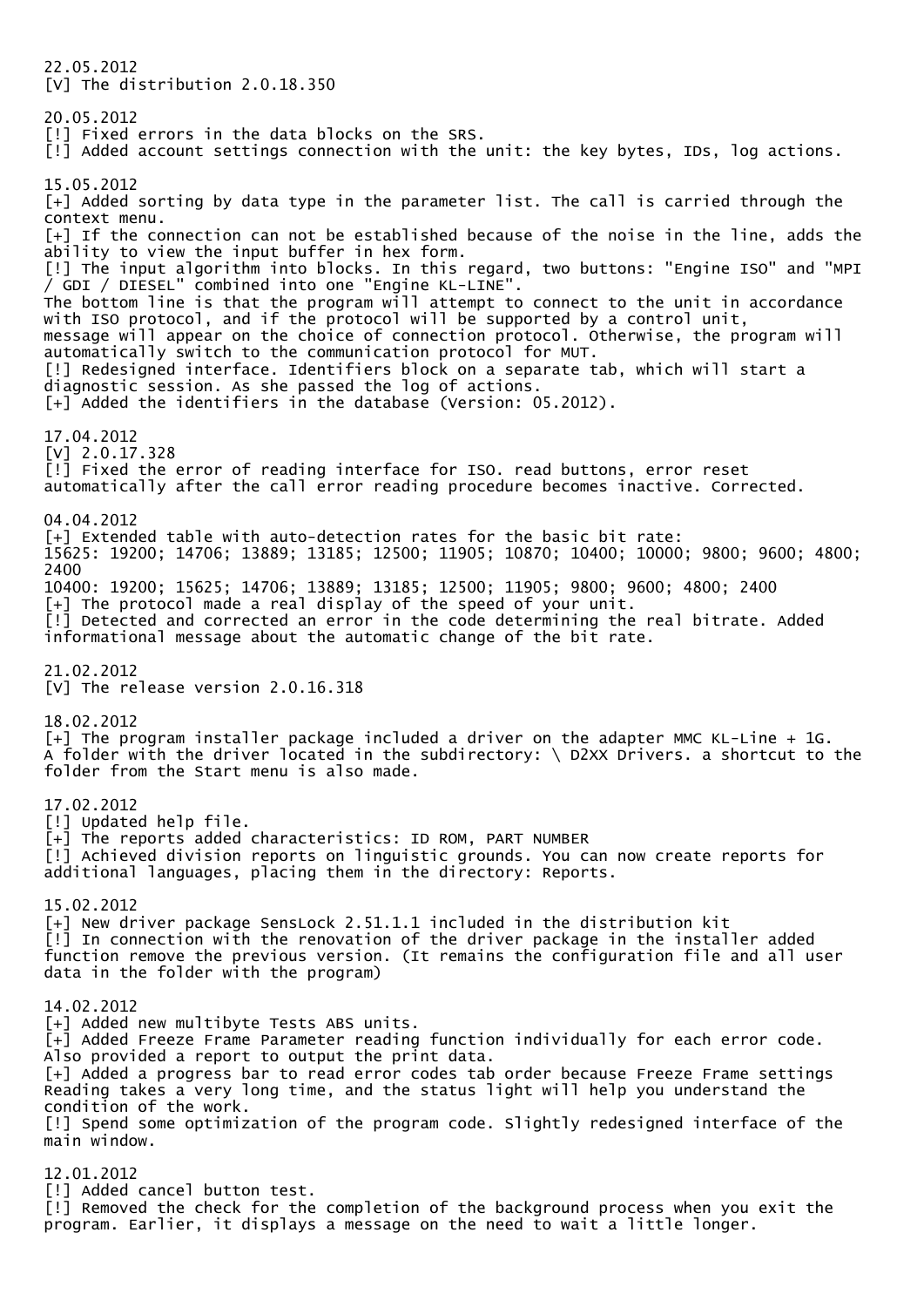22.05.2012 [V] The distribution 2.0.18.350 20.05.2012 [!] Fixed errors in the data blocks on the SRS. [!] Added account settings connection with the unit: the key bytes, IDs, log actions. 15.05.2012 [+] Added sorting by data type in the parameter list. The call is carried through the context menu. [+] If the connection can not be established because of the noise in the line, adds the ability to view the input buffer in hex form. [!] The input algorithm into blocks. In this regard, two buttons: "Engine ISO" and "MPI / GDI / DIESEL" combined into one "Engine KL-LINE". The bottom line is that the program will attempt to connect to the unit in accordance with ISO protocol, and if the protocol will be supported by a control unit, message will appear on the choice of connection protocol. Otherwise, the program will automatically switch to the communication protocol for MUT. [!] Redesigned interface. Identifiers block on a separate tab, which will start a diagnostic session. As she passed the log of actions. [+] Added the identifiers in the database (Version: 05.2012). 17.04.2012 [V] 2.0.17.328 [!] Fixed the error of reading interface for ISO. read buttons, error reset automatically after the call error reading procedure becomes inactive. Corrected. 04.04.2012 [+] Extended table with auto-detection rates for the basic bit rate: 15625: 19200; 14706; 13889; 13185; 12500; 11905; 10870; 10400; 10000; 9800; 9600; 4800; 2400 10400: 19200; 15625; 14706; 13889; 13185; 12500; 11905; 9800; 9600; 4800; 2400 [+] The protocol made a real display of the speed of your unit. [!] Detected and corrected an error in the code determining the real bitrate. Added informational message about the automatic change of the bit rate. 21.02.2012 [V] The release version 2.0.16.318 18.02.2012 [+] The program installer package included a driver on the adapter MMC KL-Line + 1G. A folder with the driver located in the subdirectory: \ D2XX Drivers. a shortcut to the folder from the Start menu is also made. 17.02.2012 [!] Updated help file. [+] The reports added characteristics: ID ROM, PART NUMBER [!] Achieved division reports on linguistic grounds. You can now create reports for additional languages, placing them in the directory: Reports. 15.02.2012 [+] New driver package SensLock 2.51.1.1 included in the distribution kit [!] In connection with the renovation of the driver package in the installer added function remove the previous version. (It remains the configuration file and all user data in the folder with the program) 14.02.2012 [+] Added new multibyte Tests ABS units.  $\bar{[+]}$  Added Freeze Frame Parameter reading function individually for each error code. Also provided a report to output the print data. [+] Added a progress bar to read error codes tab order because Freeze Frame settings Reading takes a very long time, and the status light will help you understand the condition of the work. [!] Spend some optimization of the program code. Slightly redesigned interface of the main window. 12.01.2012 [!] Added cancel button test. [!] Removed the check for the completion of the background process when you exit the

program. Earlier, it displays a message on the need to wait a little longer.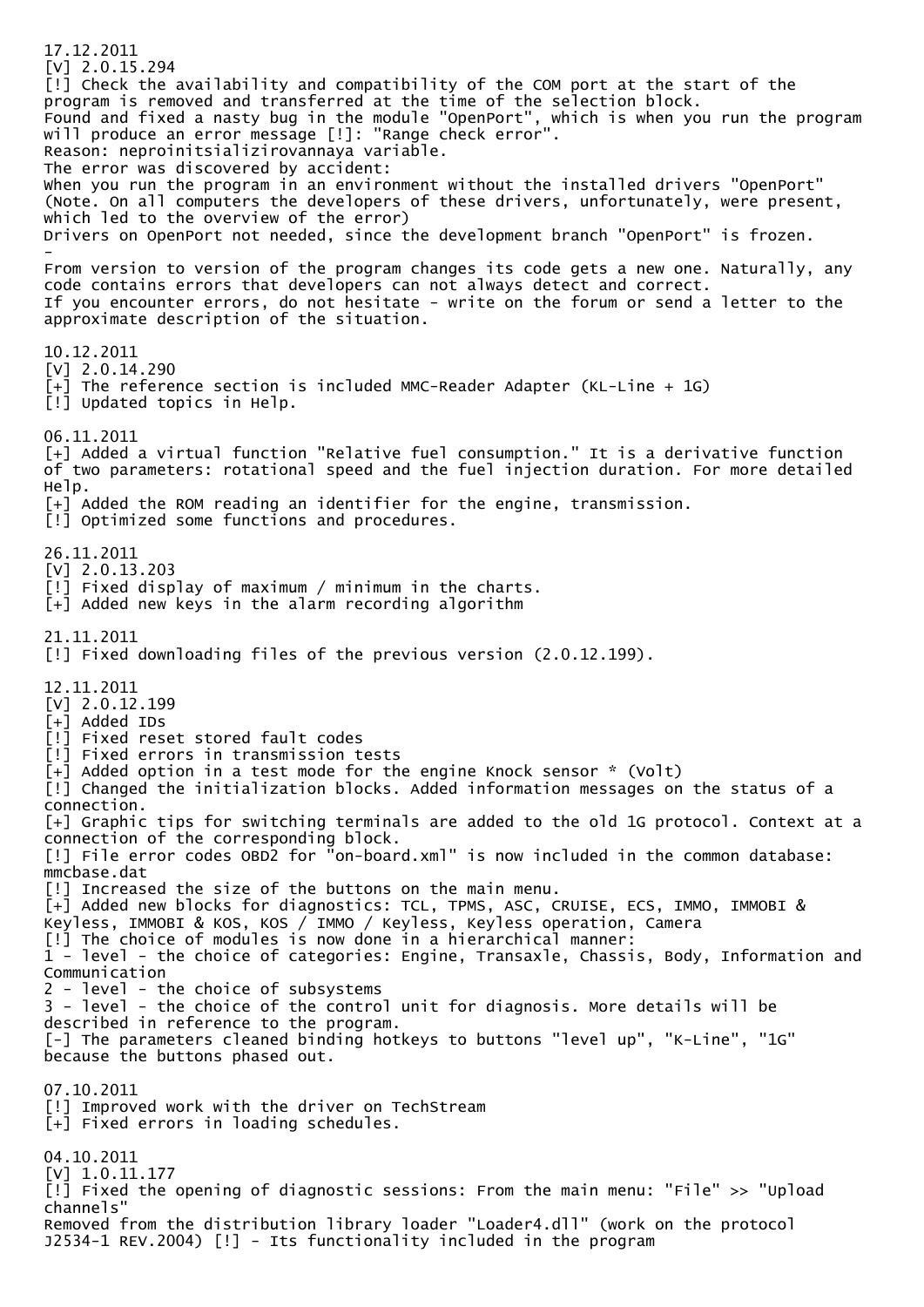17.12.2011 [V] 2.0.15.294 [!] Check the availability and compatibility of the COM port at the start of the program is removed and transferred at the time of the selection block. Found and fixed a nasty bug in the module "OpenPort", which is when you run the program will produce an error message [!]: "Range check error". Reason: neproinitsializirovannaya variable. The error was discovered by accident: When you run the program in an environment without the installed drivers "OpenPort" (Note. On all computers the developers of these drivers, unfortunately, were present, which led to the overview of the error) Drivers on OpenPort not needed, since the development branch "OpenPort" is frozen. - From version to version of the program changes its code gets a new one. Naturally, any code contains errors that developers can not always detect and correct. If you encounter errors, do not hesitate - write on the forum or send a letter to the approximate description of the situation. 10.12.2011 [V] 2.0.14.290  $\bar{[+]}$  The reference section is included MMC-Reader Adapter (KL-Line + 1G) [!] Updated topics in Help. 06.11.2011 [+] Added a virtual function "Relative fuel consumption." It is a derivative function of two parameters: rotational speed and the fuel injection duration. For more detailed Help. [+] Added the ROM reading an identifier for the engine, transmission. [!] Optimized some functions and procedures. 26.11.2011 [V] 2.0.13.203 [!] Fixed display of maximum / minimum in the charts. [+] Added new keys in the alarm recording algorithm 21.11.2011 [!] Fixed downloading files of the previous version (2.0.12.199). 12.11.2011 [V] 2.0.12.199 [+] Added IDs [!] Fixed reset stored fault codes [!] Fixed errors in transmission tests  $\bar{[+]}$  Added option in a test mode for the engine Knock sensor  $*$  (Volt) [!] Changed the initialization blocks. Added information messages on the status of a connection. [+] Graphic tips for switching terminals are added to the old 1G protocol. Context at a connection of the corresponding block. [!] File error codes OBD2 for "on-board.xml" is now included in the common database: mmcbase.dat [!] Increased the size of the buttons on the main menu. [+] Added new blocks for diagnostics: TCL, TPMS, ASC, CRUISE, ECS, IMMO, IMMOBI & Keyless, IMMOBI & KOS, KOS / IMMO / Keyless, Keyless operation, Camera [!] The choice of modules is now done in a hierarchical manner:  $1$  - level - the choice of categories: Engine, Transaxle, Chassis, Body, Information and Communication 2 - level - the choice of subsystems 3 - level - the choice of the control unit for diagnosis. More details will be described in reference to the program. [-] The parameters cleaned binding hotkeys to buttons "level up", "K-Line", "1G" because the buttons phased out. 07.10.2011 [!] Improved work with the driver on TechStream [+] Fixed errors in loading schedules. 04.10.2011 [V]  $1.0.11.177$ [!] Fixed the opening of diagnostic sessions: From the main menu: "File" >> "Upload channels" Removed from the distribution library loader "Loader4.dll" (work on the protocol J2534-1 REV.2004) [!] - Its functionality included in the program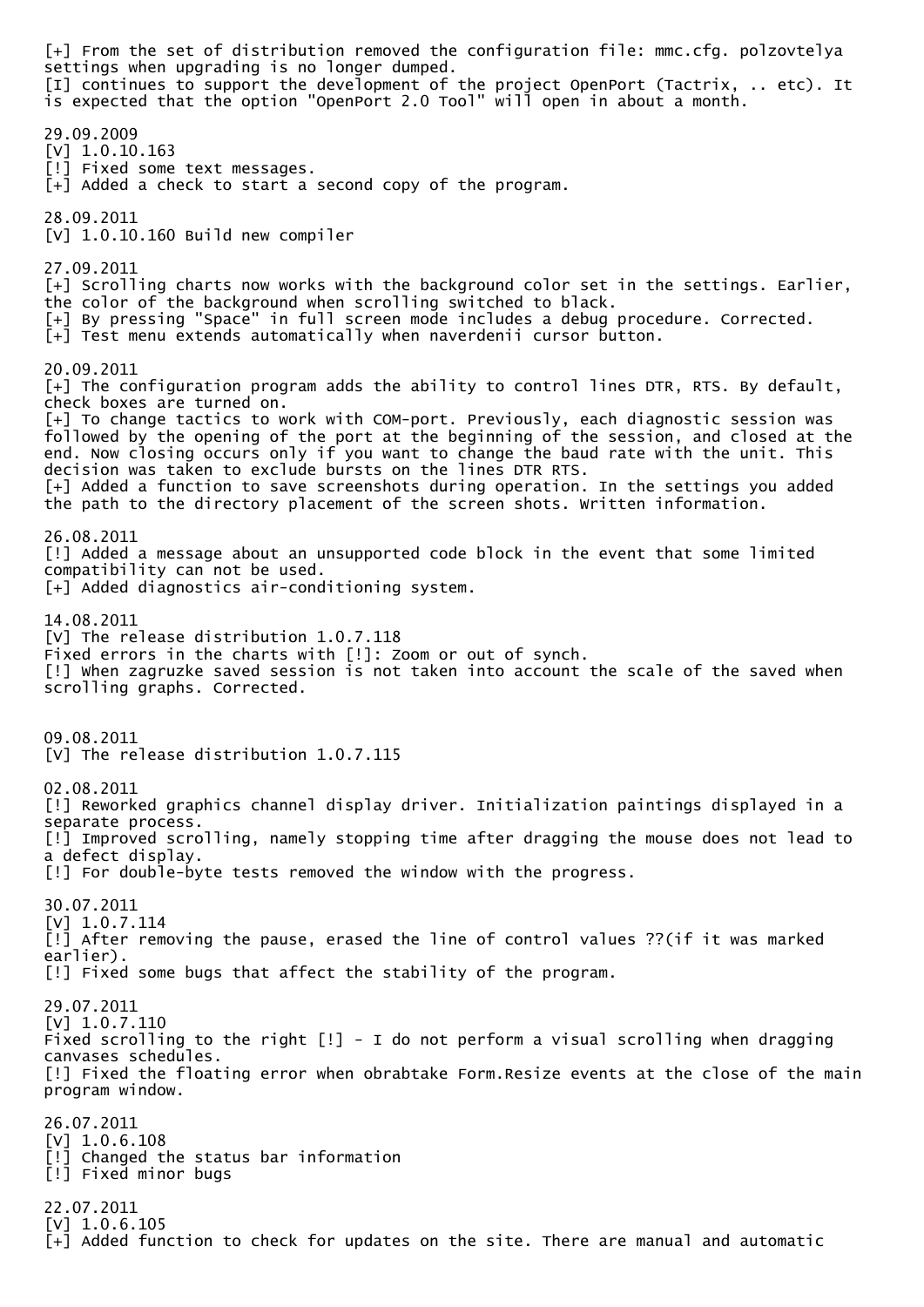[+] From the set of distribution removed the configuration file: mmc.cfg. polzovtelya settings when upgrading is no longer dumped. [I] continues to support the development of the project OpenPort (Tactrix, .. etc). It is expected that the option "OpenPort 2.0 Tool" will open in about a month. 29.09.2009 [V] 1.0.10.163 [!] Fixed some text messages. [+] Added a check to start a second copy of the program. 28.09.2011 [V] 1.0.10.160 Build new compiler 27.09.2011 [+] Scrolling charts now works with the background color set in the settings. Earlier, the color of the background when scrolling switched to black. [+] By pressing "Space" in full screen mode includes a debug procedure. Corrected. [+] Test menu extends automatically when naverdenii cursor button. 20.09.2011 [+] The configuration program adds the ability to control lines DTR, RTS. By default, check boxes are turned on. [+] To change tactics to work with COM-port. Previously, each diagnostic session was followed by the opening of the port at the beginning of the session, and closed at the end. Now closing occurs only if you want to change the baud rate with the unit. This decision was taken to exclude bursts on the lines DTR RTS. [+] Added a function to save screenshots during operation. In the settings you added the path to the directory placement of the screen shots. Written information. 26.08.2011 [!] Added a message about an unsupported code block in the event that some limited compatibility can not be used. [+] Added diagnostics air-conditioning system. 14.08.2011 [V] The release distribution 1.0.7.118 Fixed errors in the charts with [!]: Zoom or out of synch. [!] When zagruzke saved session is not taken into account the scale of the saved when scrolling graphs. Corrected. 09.08.2011 [V] The release distribution 1.0.7.115 02.08.2011 [!] Reworked graphics channel display driver. Initialization paintings displayed in a separate process. [!] Improved scrolling, namely stopping time after dragging the mouse does not lead to a defect display. [!] For double-byte tests removed the window with the progress. 30.07.2011 [V] 1.0.7.114 [!] After removing the pause, erased the line of control values ??(if it was marked earlier). [!] Fixed some bugs that affect the stability of the program. 29.07.2011 [V] 1.0.7.110 Fixed scrolling to the right  $[!]$  - I do not perform a visual scrolling when dragging canvases schedules. [!] Fixed the floating error when obrabtake Form.Resize events at the close of the main program window. 26.07.2011 [V] 1.0.6.108 [!] Changed the status bar information [!] Fixed minor bugs 22.07.2011 [V] 1.0.6.105 [+] Added function to check for updates on the site. There are manual and automatic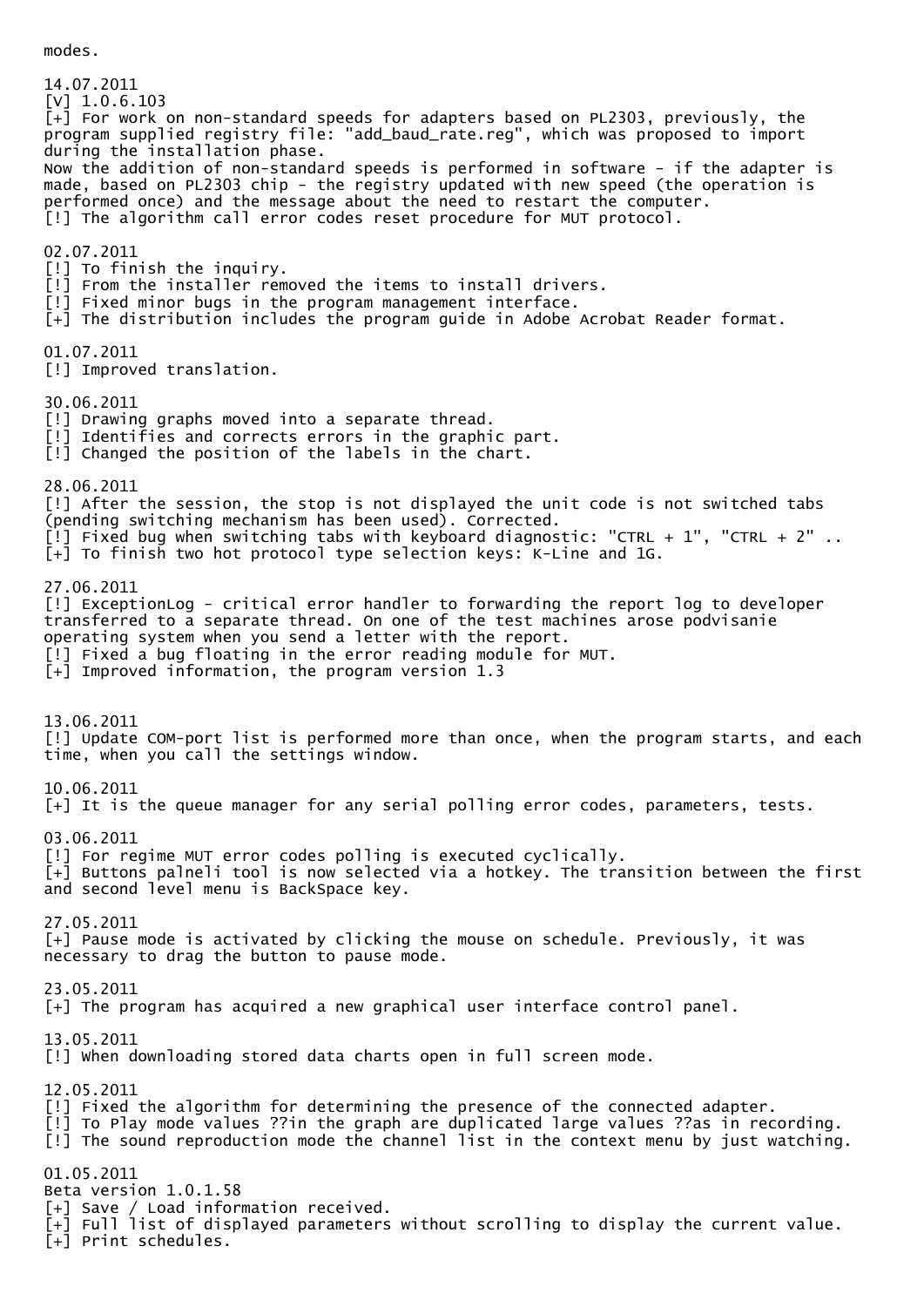14.07.2011 [V] 1.0.6.103  $\bar{[+]}$  For work on non-standard speeds for adapters based on PL2303, previously, the program supplied registry file: "add\_baud\_rate.reg", which was proposed to import during the installation phase. Now the addition of non-standard speeds is performed in software - if the adapter is made, based on PL2303 chip - the registry updated with new speed (the operation is performed once) and the message about the need to restart the computer. [!] The algorithm call error codes reset procedure for MUT protocol. 02.07.2011 [!] To finish the inquiry. [!] From the installer removed the items to install drivers. [!] Fixed minor bugs in the program management interface. [+] The distribution includes the program guide in Adobe Acrobat Reader format. 01.07.2011 [!] Improved translation. 30.06.2011 [!] Drawing graphs moved into a separate thread. [!] Identifies and corrects errors in the graphic part. [!] Changed the position of the labels in the chart. 28.06.2011 [!] After the session, the stop is not displayed the unit code is not switched tabs (pending switching mechanism has been used). Corrected. [!] Fixed bug when switching tabs with keyboard diagnostic: "CTRL + 1", "CTRL + 2" ..  $\bar{[+]}$  To finish two hot protocol type selection keys: K-Line and 1G. 27.06.2011 [!] ExceptionLog - critical error handler to forwarding the report log to developer transferred to a separate thread. On one of the test machines arose podvisanie operating system when you send a letter with the report. [!] Fixed a bug floating in the error reading module for MUT.  $\bar{[+]}$  Improved information, the program version 1.3 13.06.2011 [!] Update COM-port list is performed more than once, when the program starts, and each time, when you call the settings window. 10.06.2011 [+] It is the queue manager for any serial polling error codes, parameters, tests. 03.06.2011 [!] For regime MUT error codes polling is executed cyclically. [+] Buttons palneli tool is now selected via a hotkey. The transition between the first and second level menu is BackSpace key. 27.05.2011 [+] Pause mode is activated by clicking the mouse on schedule. Previously, it was necessary to drag the button to pause mode. 23.05.2011 [+] The program has acquired a new graphical user interface control panel. 13.05.2011 [!] When downloading stored data charts open in full screen mode. 12.05.2011 [!] Fixed the algorithm for determining the presence of the connected adapter. [!] To Play mode values ??in the graph are duplicated large values ??as in recording. [!] The sound reproduction mode the channel list in the context menu by just watching. 01.05.2011 Beta version 1.0.1.58 [+] Save / Load information received. [+] Full list of displayed parameters without scrolling to display the current value. [+] Print schedules.

modes.